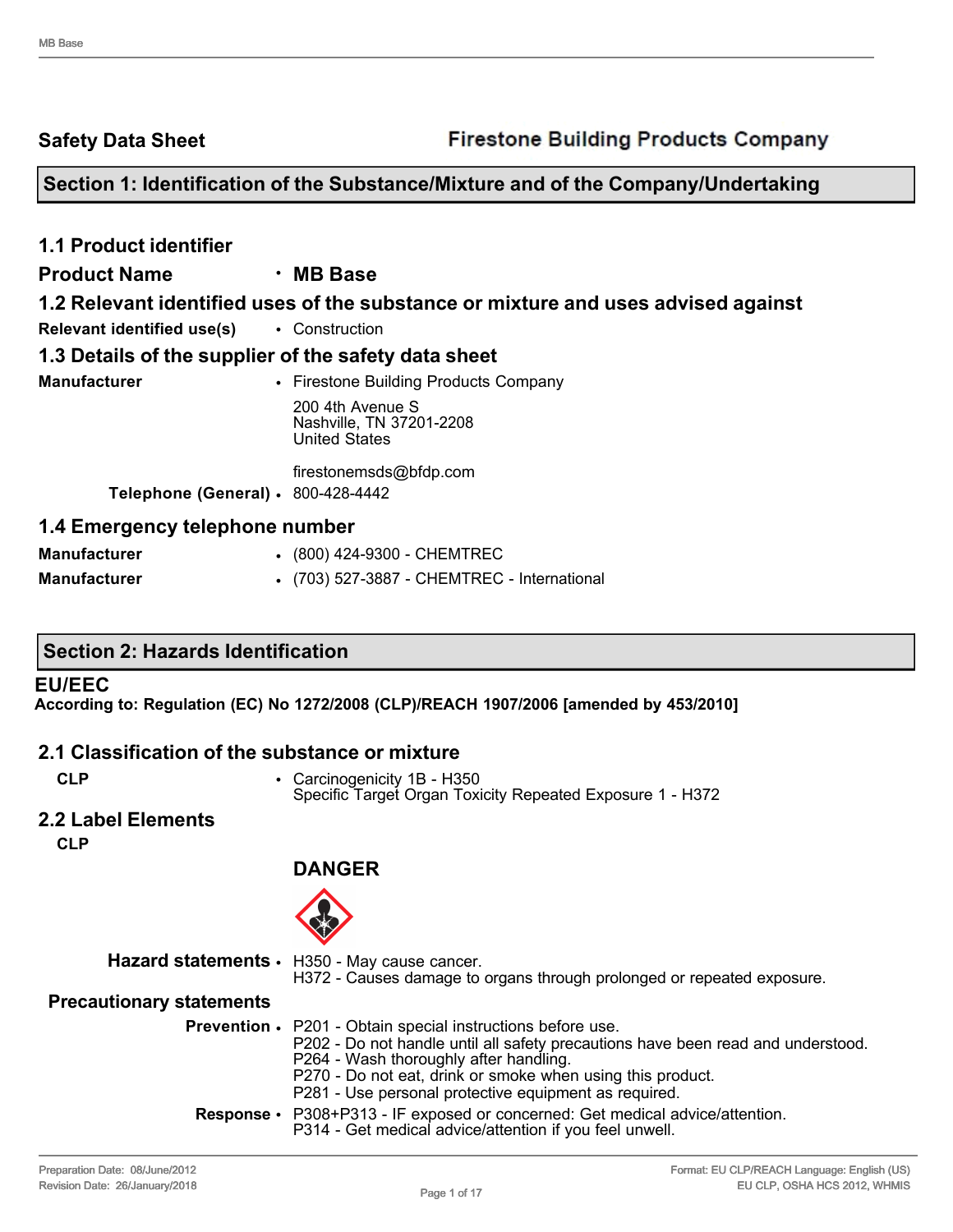**Safety Data Sheet**

### **Section 1: Identification of the Substance/Mixture and of the Company/Undertaking**

| <b>1.1 Product identifier</b>                        |                                                                                   |
|------------------------------------------------------|-----------------------------------------------------------------------------------|
| <b>Product Name</b>                                  | $\cdot$ MB Base                                                                   |
|                                                      | 1.2 Relevant identified uses of the substance or mixture and uses advised against |
| <b>Relevant identified use(s)</b> • Construction     |                                                                                   |
| 1.3 Details of the supplier of the safety data sheet |                                                                                   |
| <b>Manufacturer</b>                                  | • Firestone Building Products Company                                             |
|                                                      | 200 4th Avenue S<br>Nashville, TN 37201-2208<br><b>United States</b>              |
|                                                      | firestonemsds@bfdp.com                                                            |
| Telephone (General) · 800-428-4442                   |                                                                                   |
| 1.4 Emergency telephone number                       |                                                                                   |
| <b>Manufacturer</b>                                  | • (800) 424-9300 - CHEMTREC                                                       |

| <b>Manufacturer</b> |  |  | $(800)$ 424-9300 - CHEMTREC |  |
|---------------------|--|--|-----------------------------|--|

| <b>Manufacturer</b> | • (703) 527-3887 - CHEMTREC - International |  |
|---------------------|---------------------------------------------|--|
|                     |                                             |  |

#### **EU/EEC**

**According to: Regulation (EC) No 1272/2008 (CLP)/REACH 1907/2006 [amended by 453/2010]**

#### **2.1 Classification of the substance or mixture**

- **CLP** Carcinogenicity 1B H350 Specific Target Organ Toxicity Repeated Exposure 1 - H372
- **2.2 Label Elements**

**CLP**



**DANGER**

|                                 | Hazard statements · H350 - May cause cancer.<br>H372 - Causes damage to organs through prolonged or repeated exposure.                                                                                                                                                                                                  |
|---------------------------------|-------------------------------------------------------------------------------------------------------------------------------------------------------------------------------------------------------------------------------------------------------------------------------------------------------------------------|
| <b>Precautionary statements</b> |                                                                                                                                                                                                                                                                                                                         |
|                                 | <b>Prevention •</b> P201 - Obtain special instructions before use.<br>P202 - Do not handle until all safety precautions have been read and understood.<br>P264 - Wash thoroughly after handling.<br>P270 - Do not eat, drink or smoke when using this product.<br>P281 - Use personal protective equipment as required. |
|                                 | <b>Response</b> • P308+P313 - IF exposed or concerned: Get medical advice/attention.<br>P314 - Get medical advice/attention if you feel unwell.                                                                                                                                                                         |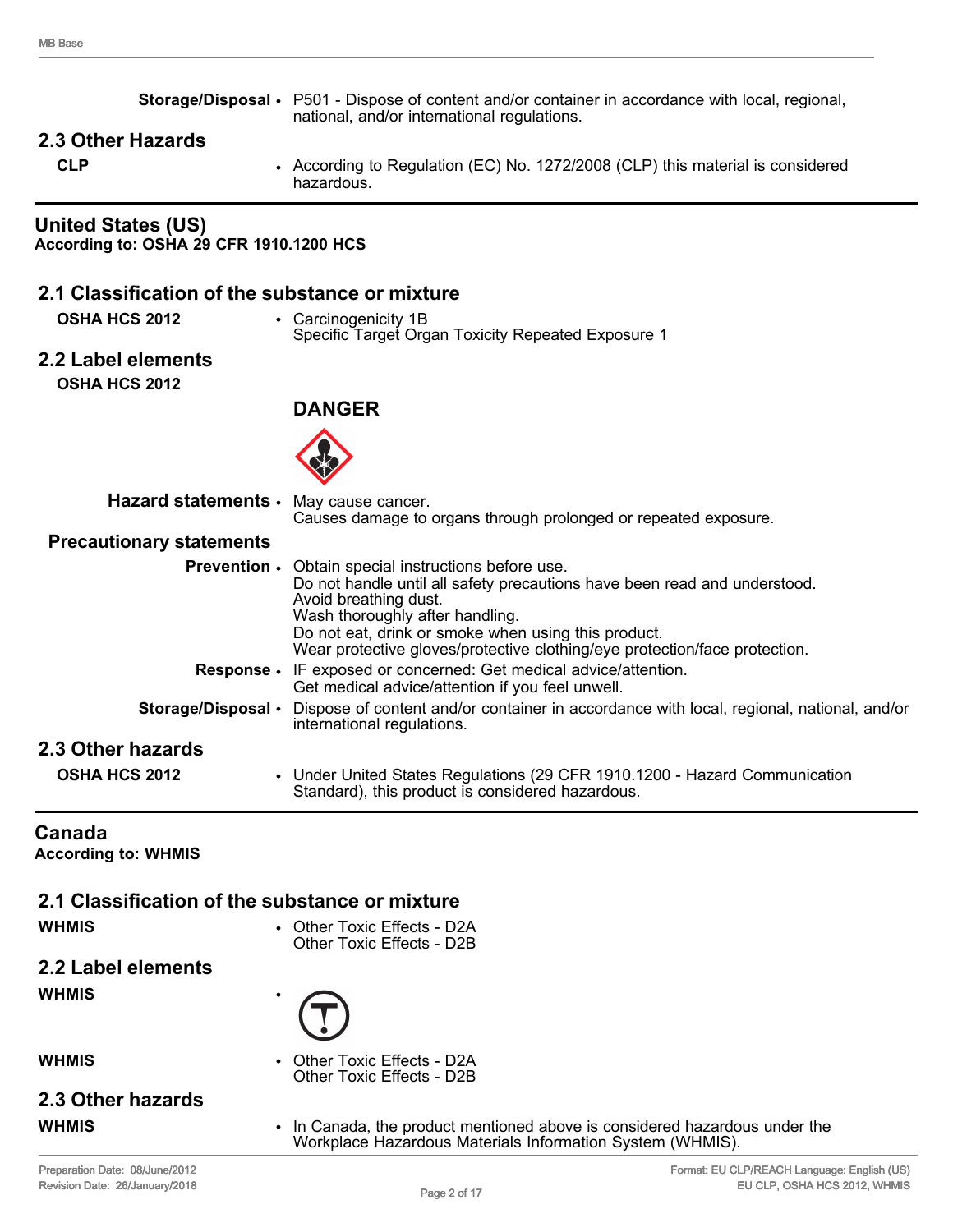|                                                                      | Storage/Disposal • P501 - Dispose of content and/or container in accordance with local, regional,                                                                                                                                                                                                                                         |
|----------------------------------------------------------------------|-------------------------------------------------------------------------------------------------------------------------------------------------------------------------------------------------------------------------------------------------------------------------------------------------------------------------------------------|
|                                                                      | national, and/or international regulations.                                                                                                                                                                                                                                                                                               |
| 2.3 Other Hazards<br><b>CLP</b>                                      | • According to Regulation (EC) No. 1272/2008 (CLP) this material is considered<br>hazardous.                                                                                                                                                                                                                                              |
| <b>United States (US)</b><br>According to: OSHA 29 CFR 1910.1200 HCS |                                                                                                                                                                                                                                                                                                                                           |
| 2.1 Classification of the substance or mixture                       |                                                                                                                                                                                                                                                                                                                                           |
| <b>OSHA HCS 2012</b>                                                 | • Carcinogenicity 1B<br>Specific Target Organ Toxicity Repeated Exposure 1                                                                                                                                                                                                                                                                |
| 2.2 Label elements                                                   |                                                                                                                                                                                                                                                                                                                                           |
| <b>OSHA HCS 2012</b>                                                 |                                                                                                                                                                                                                                                                                                                                           |
|                                                                      | <b>DANGER</b>                                                                                                                                                                                                                                                                                                                             |
|                                                                      |                                                                                                                                                                                                                                                                                                                                           |
| Hazard statements · May cause cancer.                                | Causes damage to organs through prolonged or repeated exposure.                                                                                                                                                                                                                                                                           |
| <b>Precautionary statements</b>                                      |                                                                                                                                                                                                                                                                                                                                           |
|                                                                      | <b>Prevention •</b> Obtain special instructions before use.<br>Do not handle until all safety precautions have been read and understood.<br>Avoid breathing dust.<br>Wash thoroughly after handling.<br>Do not eat, drink or smoke when using this product.<br>Wear protective gloves/protective clothing/eye protection/face protection. |
|                                                                      | Response . IF exposed or concerned: Get medical advice/attention.<br>Get medical advice/attention if you feel unwell.                                                                                                                                                                                                                     |
| Storage/Disposal •                                                   | Dispose of content and/or container in accordance with local, regional, national, and/or<br>international regulations.                                                                                                                                                                                                                    |
| 2.3 Other hazards                                                    |                                                                                                                                                                                                                                                                                                                                           |
| OSHA HCS 2012                                                        | • Under United States Regulations (29 CFR 1910.1200 - Hazard Communication<br>Standard), this product is considered hazardous.                                                                                                                                                                                                            |
| Canada<br><b>According to: WHMIS</b>                                 |                                                                                                                                                                                                                                                                                                                                           |
| 2.1 Classification of the substance or mixture<br><b>WHMIS</b>       | • Other Toxic Effects - D2A                                                                                                                                                                                                                                                                                                               |

**2.2 Label elements**

**WHMIS** •

**WHMIS** • Other Toxic Effects - D2A Other Toxic Effects - D2B

Other Toxic Effects - D2B

# **2.3 Other hazards**

**WHMIS** • In Canada, the product mentioned above is considered hazardous under the Workplace Hazardous Materials Information System (WHMIS).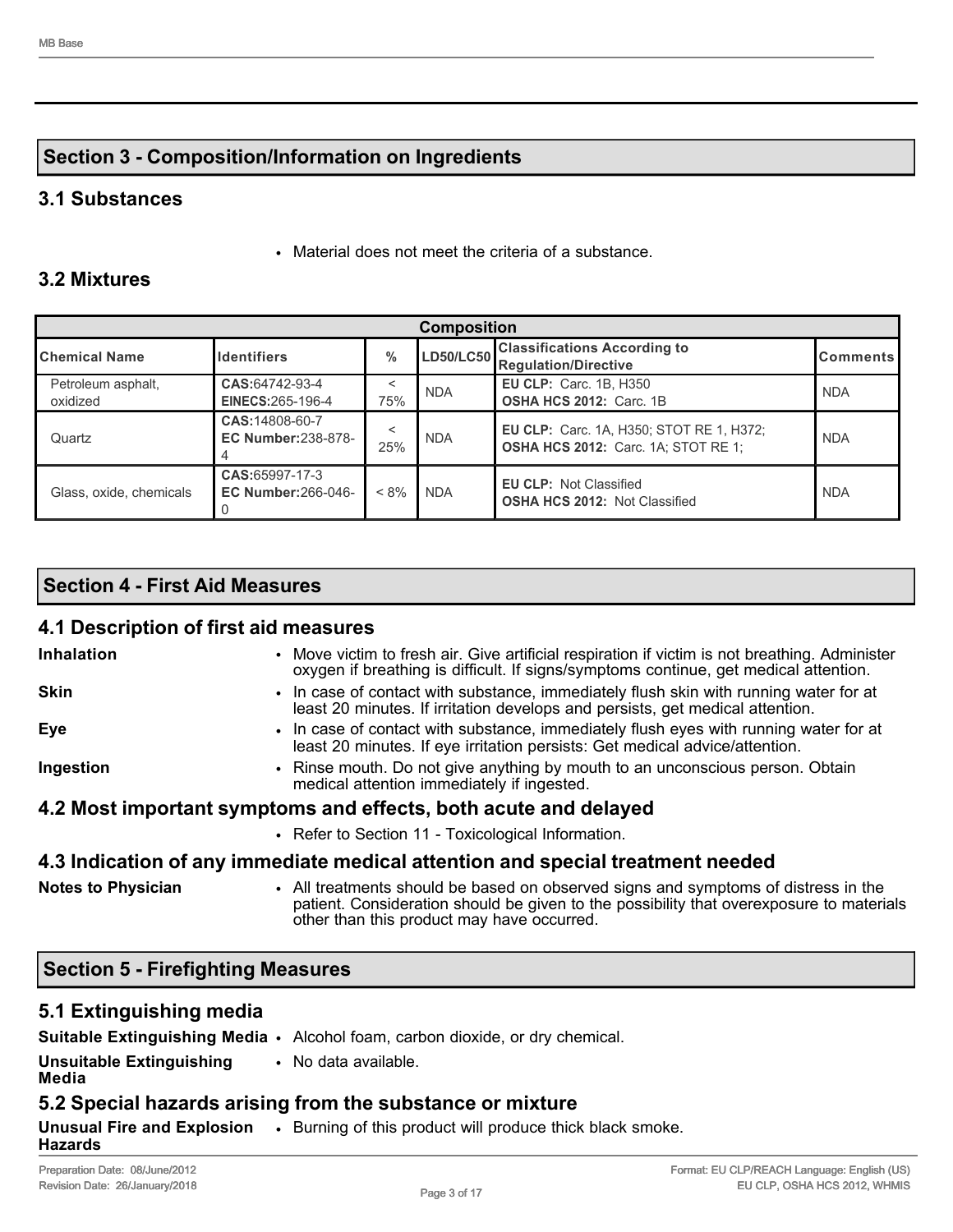### **Section 3 - Composition/Information on Ingredients**

#### **3.1 Substances**

• Material does not meet the criteria of a substance.

### **3.2 Mixtures**

| <b>Composition</b>             |                                               |         |            |                                                                                               |                 |  |
|--------------------------------|-----------------------------------------------|---------|------------|-----------------------------------------------------------------------------------------------|-----------------|--|
| <b>I</b> Chemical Name         | <b>Identifiers</b>                            | $\%$    |            | ILD50/LC50 Classifications According to<br><b>Regulation/Directive</b>                        | <b>Comments</b> |  |
| Petroleum asphalt,<br>oxidized | CAS:64742-93-4<br>EINECS: 265-196-4           | 75%     | <b>NDA</b> | <b>EU CLP: Carc. 1B, H350</b><br><b>OSHA HCS 2012: Carc. 1B</b>                               | <b>NDA</b>      |  |
| Quartz                         | CAS: 14808-60-7<br><b>EC Number: 238-878-</b> | 25%     | <b>NDA</b> | <b>EU CLP: Carc. 1A, H350; STOT RE 1, H372;</b><br><b>OSHA HCS 2012:</b> Carc. 1A; STOT RE 1; | <b>NDA</b>      |  |
| Glass, oxide, chemicals        | CAS:65997-17-3<br><b>EC Number: 266-046-</b>  | $< 8\%$ | <b>NDA</b> | <b>EU CLP: Not Classified</b><br><b>OSHA HCS 2012: Not Classified</b>                         | <b>NDA</b>      |  |

#### **Section 4 - First Aid Measures**

### **4.1 Description of first aid measures**

| <b>Inhalation</b>                                                              | • Move victim to fresh air. Give artificial respiration if victim is not breathing. Administer<br>oxygen if breathing is difficult. If signs/symptoms continue, get medical attention.                                       |  |  |  |
|--------------------------------------------------------------------------------|------------------------------------------------------------------------------------------------------------------------------------------------------------------------------------------------------------------------------|--|--|--|
| <b>Skin</b>                                                                    | • In case of contact with substance, immediately flush skin with running water for at<br>least 20 minutes. If irritation develops and persists, get medical attention.                                                       |  |  |  |
| Eye                                                                            | • In case of contact with substance, immediately flush eyes with running water for at<br>least 20 minutes. If eye irritation persists: Get medical advice/attention.                                                         |  |  |  |
| Ingestion                                                                      | • Rinse mouth. Do not give anything by mouth to an unconscious person. Obtain<br>medical attention immediately if ingested.                                                                                                  |  |  |  |
| 4.2 Most important symptoms and effects, both acute and delayed                |                                                                                                                                                                                                                              |  |  |  |
|                                                                                | • Refer to Section 11 - Toxicological Information.                                                                                                                                                                           |  |  |  |
| 4.3 Indication of any immediate medical attention and special treatment needed |                                                                                                                                                                                                                              |  |  |  |
| <b>Notes to Physician</b>                                                      | • All treatments should be based on observed signs and symptoms of distress in the<br>patient. Consideration should be given to the possibility that overexposure to materials<br>other than this product may have occurred. |  |  |  |

### **Section 5 - Firefighting Measures**

### **5.1 Extinguishing media**

|                                          | Suitable Extinguishing Media • Alcohol foam, carbon dioxide, or dry chemical.               |
|------------------------------------------|---------------------------------------------------------------------------------------------|
| <b>Unsuitable Extinguishing</b><br>Media | • No data available.                                                                        |
|                                          | 5.2 Special hazards arising from the substance or mixture                                   |
| <b>Hazards</b>                           | <b>Unusual Fire and Explosion</b> . Burning of this product will produce thick black smoke. |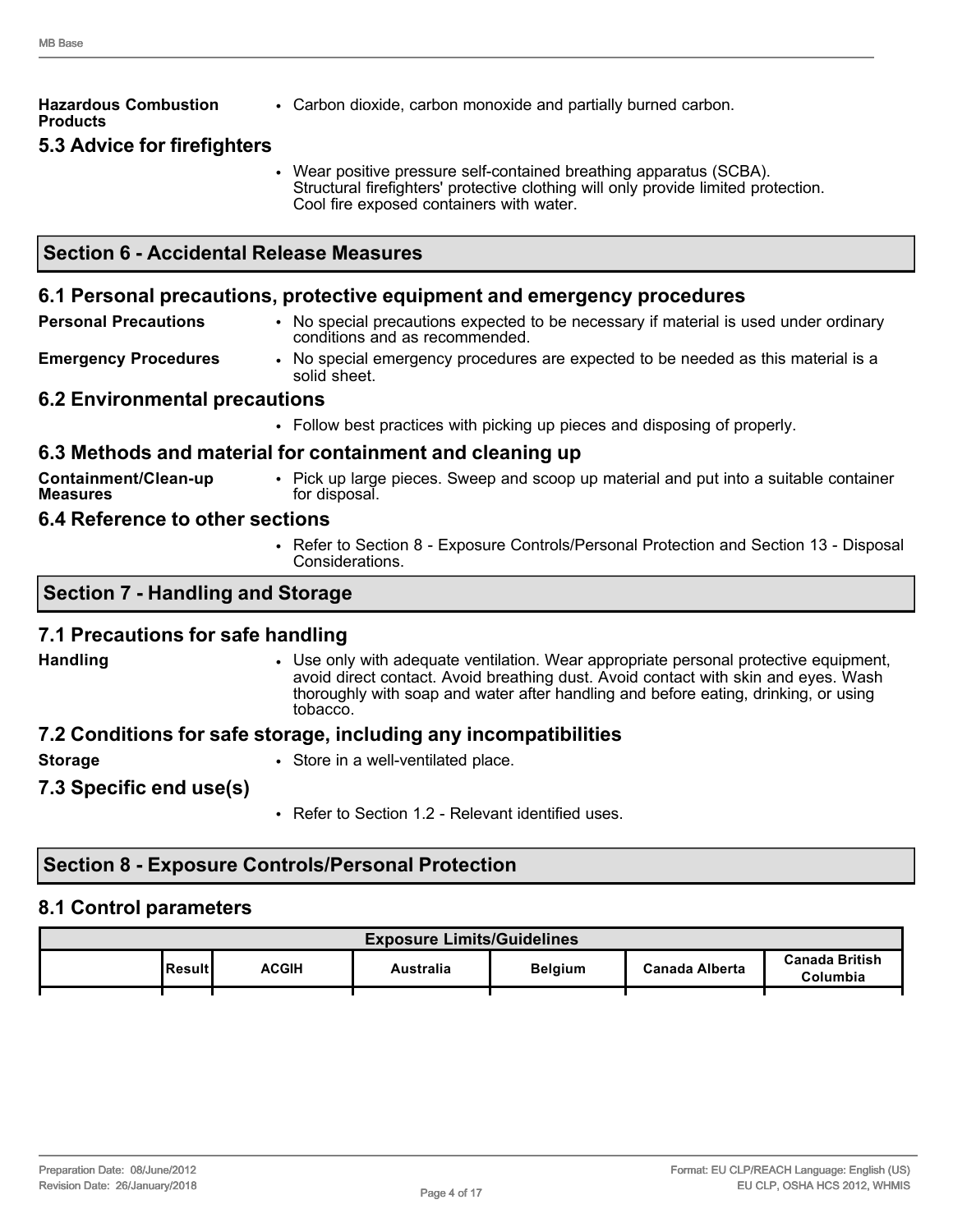| <b>Hazardous Combustion</b><br><b>Products</b> | • Carbon dioxide, carbon monoxide and partially burned carbon.                                                                                                                                        |
|------------------------------------------------|-------------------------------------------------------------------------------------------------------------------------------------------------------------------------------------------------------|
| 5.3 Advice for firefighters                    |                                                                                                                                                                                                       |
|                                                | • Wear positive pressure self-contained breathing apparatus (SCBA).<br>Structural firefighters' protective clothing will only provide limited protection.<br>Cool fire exposed containers with water. |

#### **6.1 Personal precautions, protective equipment and emergency procedures**

| <b>Personal Precautions</b> | No special precautions expected to be necessary if material is used under ordinary |
|-----------------------------|------------------------------------------------------------------------------------|
|                             | conditions and as recommended.                                                     |

**Emergency Procedures** • No special emergency procedures are expected to be needed as this material is a solid sheet.

#### **6.2 Environmental precautions**

• Follow best practices with picking up pieces and disposing of properly.

#### **6.3 Methods and material for containment and cleaning up**

**Containment/Clean-up Measures** • Pick up large pieces. Sweep and scoop up material and put into a suitable container for disposal.

- **6.4 Reference to other sections**
	- Refer to Section 8 Exposure Controls/Personal Protection and Section 13 Disposal Considerations.

#### **Section 7 - Handling and Storage**

#### **7.1 Precautions for safe handling**

**Handling** • Use only with adequate ventilation. Wear appropriate personal protective equipment, avoid direct contact. Avoid breathing dust. Avoid contact with skin and eyes. Wash thoroughly with soap and water after handling and before eating, drinking, or using tobacco.

#### **7.2 Conditions for safe storage, including any incompatibilities**

**Storage** • Store in a well-ventilated place.

#### **7.3 Specific end use(s)**

• Refer to Section 1.2 - Relevant identified uses.

#### **Section 8 - Exposure Controls/Personal Protection**

#### **8.1 Control parameters**

| <b>Exposure Limits/Guidelines</b> |         |              |           |                |                       |                                   |
|-----------------------------------|---------|--------------|-----------|----------------|-----------------------|-----------------------------------|
|                                   | Resultl | <b>ACGIH</b> | Australia | <b>Belgium</b> | <b>Canada Alberta</b> | <b>Canada British</b><br>Columbia |
|                                   |         |              |           |                |                       |                                   |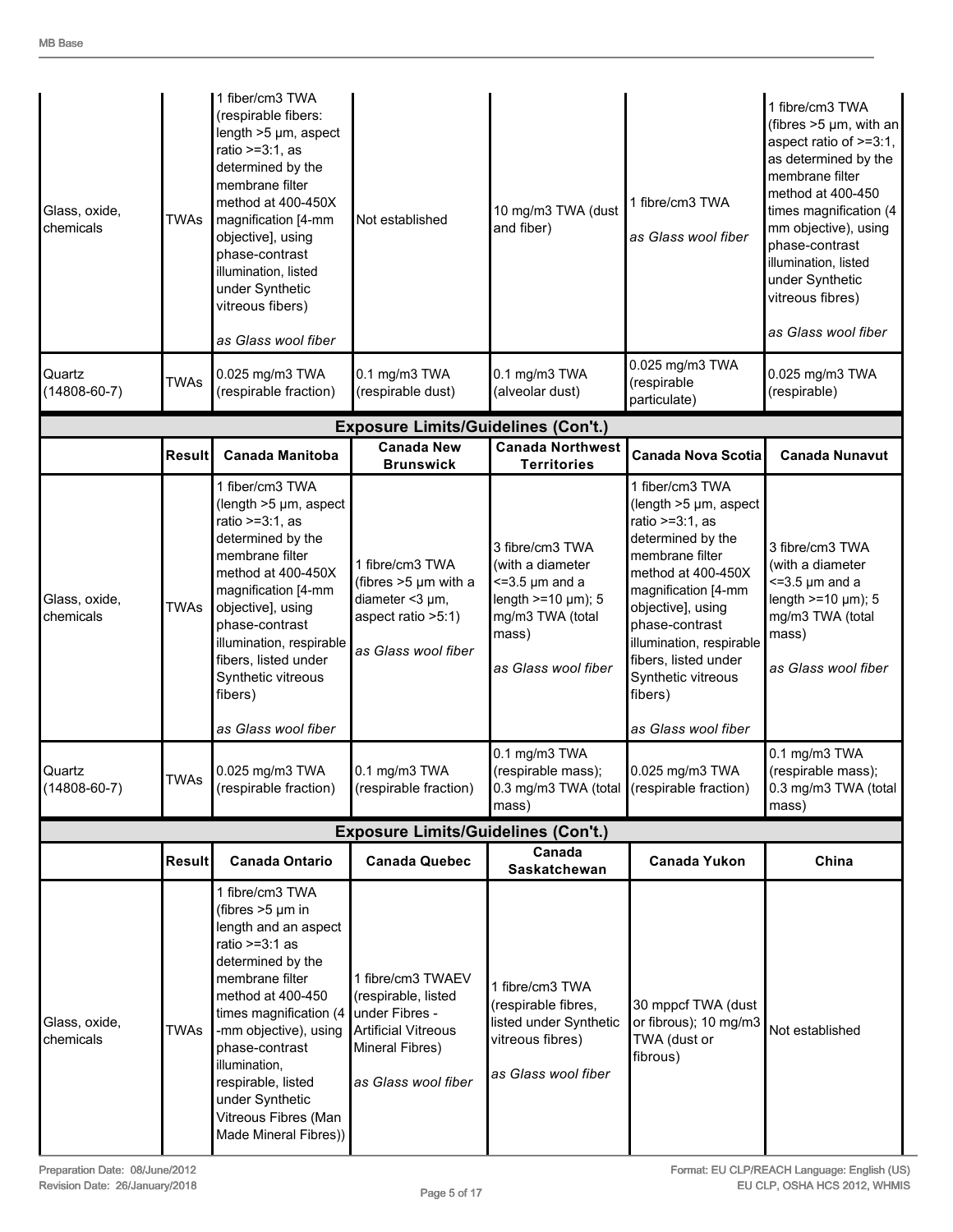| Glass, oxide,<br>chemicals   | TWAs          | 1 fiber/cm3 TWA<br>(respirable fibers:<br>length $>5 \mu m$ , aspect<br>ratio $>=3:1$ , as<br>determined by the<br>membrane filter<br>method at 400-450X<br>magnification [4-mm<br>Not established<br>objective], using<br>phase-contrast<br>illumination, listed<br>under Synthetic<br>vitreous fibers)<br>as Glass wool fiber      |                                                                                                                                    | 10 mg/m3 TWA (dust<br>and fiber)                                                                                                        | 1 fibre/cm3 TWA<br>as Glass wool fiber<br>0.025 mg/m3 TWA                                                                                                                                                                                                                                              | 1 fibre/cm3 TWA<br>(fibres >5 µm, with an<br>aspect ratio of >=3:1,<br>as determined by the<br>membrane filter<br>method at 400-450<br>times magnification (4<br>mm objective), using<br>phase-contrast<br>illumination, listed<br>under Synthetic<br>vitreous fibres)<br>as Glass wool fiber |
|------------------------------|---------------|--------------------------------------------------------------------------------------------------------------------------------------------------------------------------------------------------------------------------------------------------------------------------------------------------------------------------------------|------------------------------------------------------------------------------------------------------------------------------------|-----------------------------------------------------------------------------------------------------------------------------------------|--------------------------------------------------------------------------------------------------------------------------------------------------------------------------------------------------------------------------------------------------------------------------------------------------------|-----------------------------------------------------------------------------------------------------------------------------------------------------------------------------------------------------------------------------------------------------------------------------------------------|
| Quartz<br>$(14808 - 60 - 7)$ | <b>TWAs</b>   | 0.025 mg/m3 TWA<br>(respirable fraction)                                                                                                                                                                                                                                                                                             | 0.1 mg/m3 TWA<br>(respirable dust)                                                                                                 | 0.1 mg/m3 TWA<br>(alveolar dust)                                                                                                        | (respirable<br>particulate)                                                                                                                                                                                                                                                                            | 0.025 mg/m3 TWA<br>(respirable)                                                                                                                                                                                                                                                               |
|                              |               |                                                                                                                                                                                                                                                                                                                                      | <b>Exposure Limits/Guidelines (Con't.)</b>                                                                                         |                                                                                                                                         |                                                                                                                                                                                                                                                                                                        |                                                                                                                                                                                                                                                                                               |
|                              | <b>Result</b> | <b>Canada Manitoba</b>                                                                                                                                                                                                                                                                                                               | <b>Canada New</b><br><b>Brunswick</b>                                                                                              | <b>Canada Northwest</b><br><b>Territories</b>                                                                                           | <b>Canada Nova Scotia</b>                                                                                                                                                                                                                                                                              | <b>Canada Nunavut</b>                                                                                                                                                                                                                                                                         |
| Glass, oxide,<br>chemicals   | <b>TWAs</b>   | 1 fiber/cm3 TWA<br>(length >5 µm, aspect<br>ratio $>=3:1$ , as<br>determined by the<br>membrane filter<br>method at 400-450X<br>magnification [4-mm<br>objective], using<br>phase-contrast<br>illumination, respirable<br>fibers, listed under<br>Synthetic vitreous<br>fibers)<br>as Glass wool fiber                               | 1 fibre/cm3 TWA<br>(fibres $>5 \mu m$ with a<br>diameter <3 µm,<br>aspect ratio >5:1)<br>as Glass wool fiber                       | 3 fibre/cm3 TWA<br>(with a diameter<br>$\leq$ 3.5 µm and a<br>length $>=$ 10 µm); 5<br>mg/m3 TWA (total<br>mass)<br>as Glass wool fiber | 1 fiber/cm3 TWA<br>(length >5 µm, aspect<br>ratio $>=3:1$ , as<br>determined by the<br>membrane filter<br>method at 400-450X<br>magnification [4-mm<br>objective], using<br>phase-contrast<br>illumination, respirable<br>fibers, listed under<br>Synthetic vitreous<br>fibers)<br>as Glass wool fiber | 3 fibre/cm3 TWA<br>(with a diameter<br>$\leq$ =3.5 µm and a<br>length $>=$ 10 $\mu$ m); 5<br>mg/m3 TWA (total<br>mass)<br>as Glass wool fiber                                                                                                                                                 |
| Quartz<br>$(14808 - 60 - 7)$ | <b>TWAs</b>   | 0.025 mg/m3 TWA<br>(respirable fraction)                                                                                                                                                                                                                                                                                             | 0.1 mg/m3 TWA<br>(respirable fraction)                                                                                             | 0.1 mg/m3 TWA<br>(respirable mass);<br>0.3 mg/m3 TWA (total<br>mass)                                                                    | 0.025 mg/m3 TWA<br>(respirable fraction)                                                                                                                                                                                                                                                               | 0.1 mg/m3 TWA<br>(respirable mass);<br>0.3 mg/m3 TWA (total<br>mass)                                                                                                                                                                                                                          |
|                              |               |                                                                                                                                                                                                                                                                                                                                      | <b>Exposure Limits/Guidelines (Con't.)</b>                                                                                         |                                                                                                                                         |                                                                                                                                                                                                                                                                                                        |                                                                                                                                                                                                                                                                                               |
|                              | Result        | <b>Canada Ontario</b>                                                                                                                                                                                                                                                                                                                | <b>Canada Quebec</b>                                                                                                               | Canada<br>Saskatchewan                                                                                                                  | <b>Canada Yukon</b>                                                                                                                                                                                                                                                                                    | China                                                                                                                                                                                                                                                                                         |
| Glass, oxide,<br>chemicals   | TWAs          | 1 fibre/cm3 TWA<br>(fibres $>5 \mu m$ in<br>length and an aspect<br>ratio $>=3:1$ as<br>determined by the<br>membrane filter<br>method at 400-450<br>times magnification $(4)$<br>-mm objective), using<br>phase-contrast<br>illumination,<br>respirable, listed<br>under Synthetic<br>Vitreous Fibres (Man<br>Made Mineral Fibres)) | 1 fibre/cm3 TWAEV<br>(respirable, listed<br>under Fibres -<br><b>Artificial Vitreous</b><br>Mineral Fibres)<br>as Glass wool fiber | 1 fibre/cm3 TWA<br>(respirable fibres,<br>listed under Synthetic<br>vitreous fibres)<br>as Glass wool fiber                             | 30 mppcf TWA (dust<br>or fibrous); 10 mg/m3<br>TWA (dust or<br>fibrous)                                                                                                                                                                                                                                | Not established                                                                                                                                                                                                                                                                               |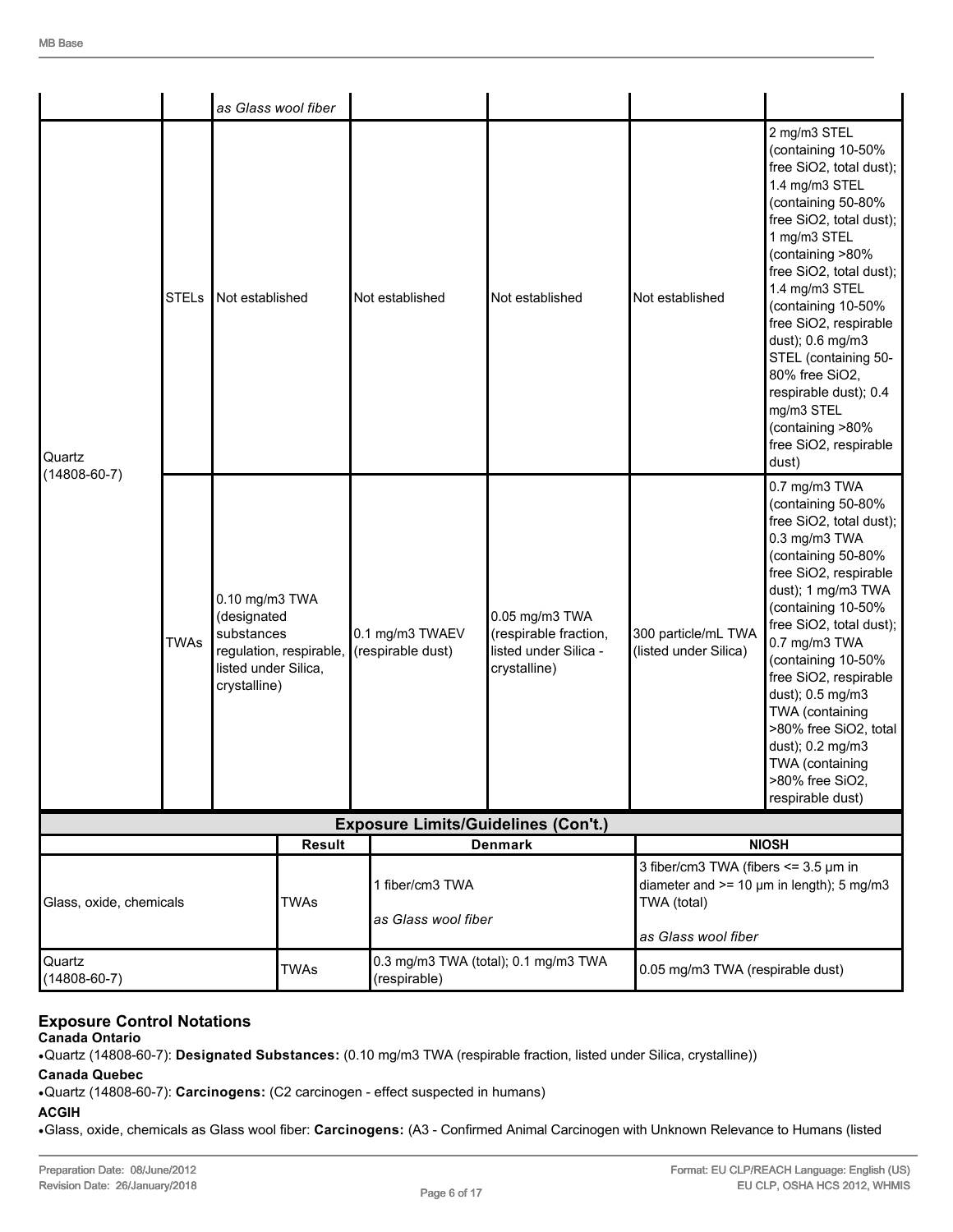|                              |              |                                                                                     | as Glass wool fiber                    |                                            |                                                                                                                 |                                              |                                                                                                                                                                                                                                                                                                                                                                                                                             |  |
|------------------------------|--------------|-------------------------------------------------------------------------------------|----------------------------------------|--------------------------------------------|-----------------------------------------------------------------------------------------------------------------|----------------------------------------------|-----------------------------------------------------------------------------------------------------------------------------------------------------------------------------------------------------------------------------------------------------------------------------------------------------------------------------------------------------------------------------------------------------------------------------|--|
| Quartz<br>$(14808 - 60 - 7)$ | <b>STELs</b> | Not established                                                                     |                                        | Not established                            | Not established                                                                                                 | Not established                              | 2 mg/m3 STEL<br>(containing 10-50%<br>free SiO2, total dust);<br>1.4 mg/m3 STEL<br>(containing 50-80%<br>free SiO2, total dust);<br>1 mg/m3 STEL<br>(containing >80%<br>free SiO2, total dust);<br>1.4 mg/m3 STEL<br>(containing 10-50%<br>free SiO2, respirable<br>dust); 0.6 mg/m3<br>STEL (containing 50-<br>80% free SiO2,<br>respirable dust); 0.4<br>mg/m3 STEL<br>(containing >80%<br>free SiO2, respirable<br>dust) |  |
|                              | <b>TWAs</b>  | 0.10 mg/m3 TWA<br>(designated<br>substances<br>listed under Silica,<br>crystalline) | regulation, respirable,                | 0.1 mg/m3 TWAEV<br>(respirable dust)       | 0.05 mg/m3 TWA<br>(respirable fraction,<br>listed under Silica -<br>crystalline)                                | 300 particle/mL TWA<br>(listed under Silica) | 0.7 mg/m3 TWA<br>(containing 50-80%<br>free SiO2, total dust);<br>0.3 mg/m3 TWA<br>(containing 50-80%<br>free SiO2, respirable<br>dust); 1 mg/m3 TWA<br>(containing 10-50%<br>free SiO2, total dust);<br>0.7 mg/m3 TWA<br>(containing 10-50%<br>free SiO2, respirable<br>dust); 0.5 mg/m3<br>TWA (containing<br>>80% free SiO2, total<br>dust); 0.2 mg/m3<br>TWA (containing<br>>80% free SiO2,<br>respirable dust)         |  |
|                              |              |                                                                                     |                                        | <b>Exposure Limits/Guidelines (Con't.)</b> |                                                                                                                 |                                              |                                                                                                                                                                                                                                                                                                                                                                                                                             |  |
|                              |              |                                                                                     | <b>Result</b>                          |                                            | <b>Denmark</b>                                                                                                  |                                              | <b>NIOSH</b>                                                                                                                                                                                                                                                                                                                                                                                                                |  |
| Glass, oxide, chemicals      |              | <b>TWAs</b>                                                                         | 1 fiber/cm3 TWA<br>as Glass wool fiber |                                            | 3 fiber/cm3 TWA (fibers $\le$ = 3.5 $\mu$ m in<br>diameter and $>= 10 \mu m$ in length); 5 mg/m3<br>TWA (total) |                                              |                                                                                                                                                                                                                                                                                                                                                                                                                             |  |
| Quartz<br>$(14808 - 60 - 7)$ |              |                                                                                     | <b>TWAs</b>                            | (respirable)                               | 0.3 mg/m3 TWA (total); 0.1 mg/m3 TWA                                                                            |                                              | as Glass wool fiber<br>0.05 mg/m3 TWA (respirable dust)                                                                                                                                                                                                                                                                                                                                                                     |  |

#### **Exposure Control Notations**

**Canada Ontario**

•Quartz (14808-60-7): **Designated Substances:** (0.10 mg/m3 TWA (respirable fraction, listed under Silica, crystalline))

**Canada Quebec**

•Quartz (14808-60-7): **Carcinogens:** (C2 carcinogen - effect suspected in humans)

### **ACGIH**

•Glass, oxide, chemicals as Glass wool fiber: **Carcinogens:** (A3 - Confirmed Animal Carcinogen with Unknown Relevance to Humans (listed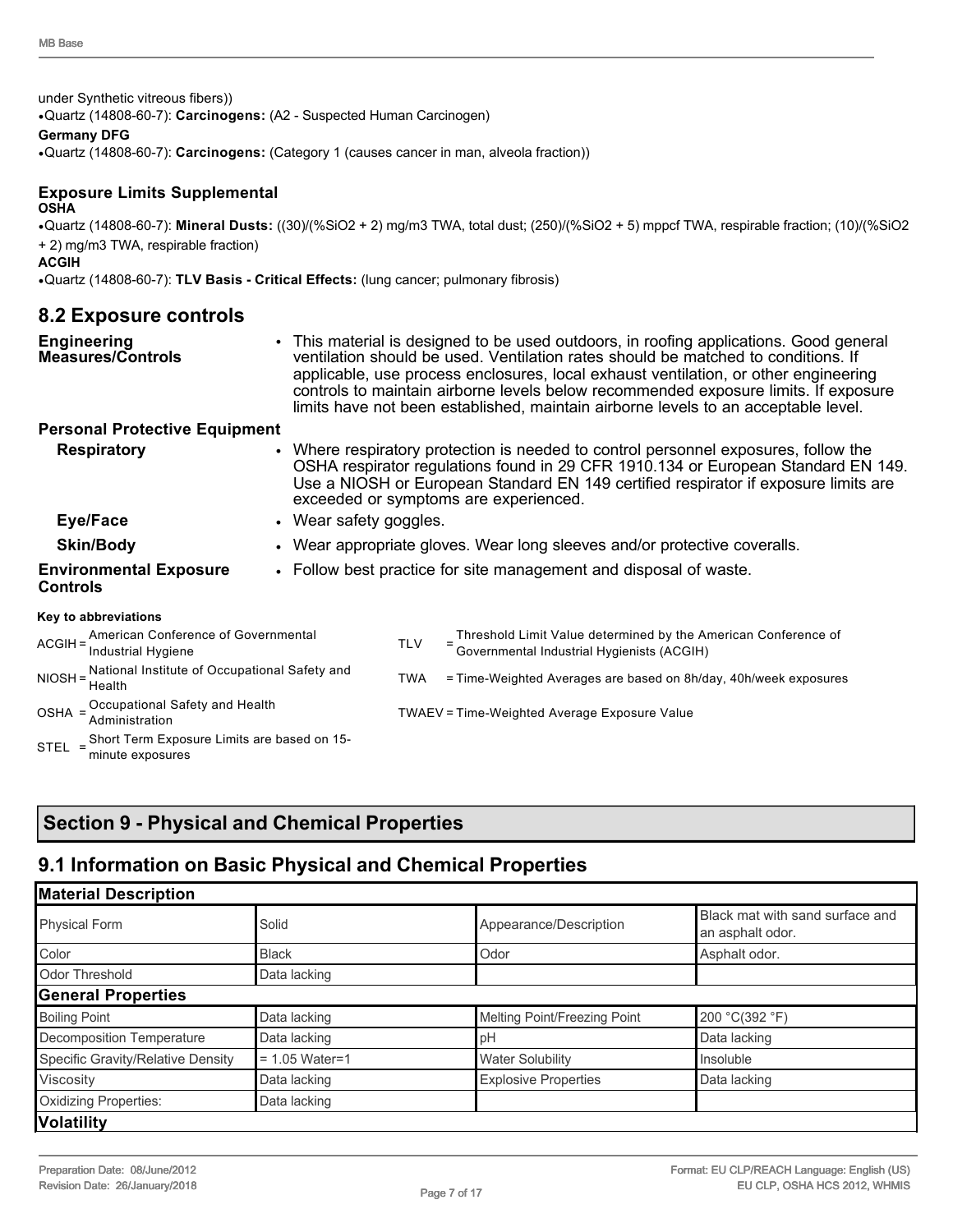under Synthetic vitreous fibers))

•Quartz (14808-60-7): **Carcinogens:** (A2 - Suspected Human Carcinogen)

#### **Germany DFG**

•Quartz (14808-60-7): **Carcinogens:** (Category 1 (causes cancer in man, alveola fraction))

#### **Exposure Limits Supplemental OSHA**

•Quartz (14808-60-7): **Mineral Dusts:** ((30)/(%SiO2 + 2) mg/m3 TWA, total dust; (250)/(%SiO2 + 5) mppcf TWA, respirable fraction; (10)/(%SiO2 + 2) mg/m3 TWA, respirable fraction)

#### **ACGIH**

•Quartz (14808-60-7): **TLV Basis - Critical Effects:** (lung cancer; pulmonary fibrosis)

## **8.2 Exposure controls**

| <b>Engineering</b><br><b>Measures/Controls</b>                    |                        |                                              | • This material is designed to be used outdoors, in roofing applications. Good general<br>ventilation should be used. Ventilation rates should be matched to conditions. If<br>applicable, use process enclosures, local exhaust ventilation, or other engineering<br>controls to maintain airborne levels below recommended exposure limits. If exposure<br>limits have not been established, maintain airborne levels to an acceptable level. |  |  |
|-------------------------------------------------------------------|------------------------|----------------------------------------------|-------------------------------------------------------------------------------------------------------------------------------------------------------------------------------------------------------------------------------------------------------------------------------------------------------------------------------------------------------------------------------------------------------------------------------------------------|--|--|
| <b>Personal Protective Equipment</b>                              |                        |                                              |                                                                                                                                                                                                                                                                                                                                                                                                                                                 |  |  |
| <b>Respiratory</b>                                                |                        |                                              | • Where respiratory protection is needed to control personnel exposures, follow the<br>OSHA respirator regulations found in 29 CFR 1910.134 or European Standard EN 149.<br>Use a NIOSH or European Standard EN 149 certified respirator if exposure limits are<br>exceeded or symptoms are experienced.                                                                                                                                        |  |  |
| Eye/Face                                                          | • Wear safety goggles. |                                              |                                                                                                                                                                                                                                                                                                                                                                                                                                                 |  |  |
| <b>Skin/Body</b>                                                  |                        |                                              | • Wear appropriate gloves. Wear long sleeves and/or protective coveralls.                                                                                                                                                                                                                                                                                                                                                                       |  |  |
| <b>Environmental Exposure</b><br><b>Controls</b>                  |                        |                                              | • Follow best practice for site management and disposal of waste.                                                                                                                                                                                                                                                                                                                                                                               |  |  |
| Key to abbreviations                                              |                        |                                              |                                                                                                                                                                                                                                                                                                                                                                                                                                                 |  |  |
| ACGIH = American Conference of Governmental<br>Industrial Hygiene |                        | <b>TLV</b>                                   | Threshold Limit Value determined by the American Conference of Governmental Industrial Hygienists (ACGIH)                                                                                                                                                                                                                                                                                                                                       |  |  |
| NIOSH = National Institute of Occupational Safety and<br>Health   |                        | TWA                                          | = Time-Weighted Averages are based on 8h/day, 40h/week exposures                                                                                                                                                                                                                                                                                                                                                                                |  |  |
| OSHA = Occupational Safety and Health                             |                        | TWAEV = Time-Weighted Average Exposure Value |                                                                                                                                                                                                                                                                                                                                                                                                                                                 |  |  |

### **Section 9 - Physical and Chemical Properties**

STEL = Short Term Exposure Limits are based on 15-

minute exposures

### **9.1 Information on Basic Physical and Chemical Properties**

Administration TWAEV <sup>=</sup> Time-Weighted Average Exposure Value

| <b>Material Description</b>       |                  |                              |                                                     |
|-----------------------------------|------------------|------------------------------|-----------------------------------------------------|
| <b>Physical Form</b>              | Solid            | Appearance/Description       | Black mat with sand surface and<br>an asphalt odor. |
| Color                             | <b>Black</b>     | Odor                         | Asphalt odor.                                       |
| Odor Threshold                    | Data lacking     |                              |                                                     |
| <b>General Properties</b>         |                  |                              |                                                     |
| <b>Boiling Point</b>              | Data lacking     | Melting Point/Freezing Point | 200 °C(392 °F)                                      |
| Decomposition Temperature         | Data lacking     | рH                           | Data lacking                                        |
| Specific Gravity/Relative Density | $= 1.05$ Water=1 | <b>Water Solubility</b>      | Insoluble                                           |
| Viscosity                         | Data lacking     | <b>Explosive Properties</b>  | Data lacking                                        |
| Oxidizing Properties:             | Data lacking     |                              |                                                     |
| <b>Volatility</b>                 |                  |                              |                                                     |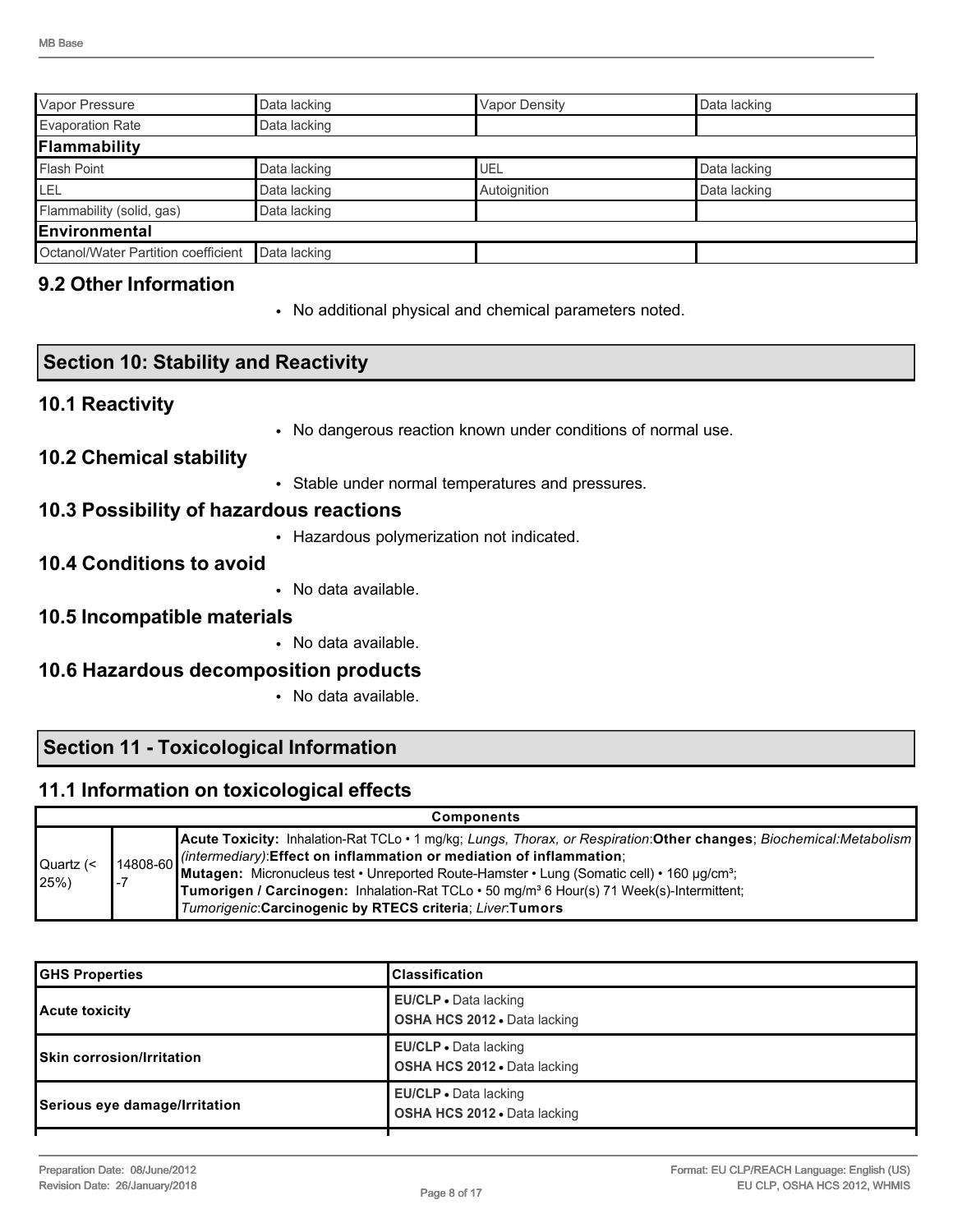| Vapor Pressure                                      | Data lacking | Vapor Density | Data lacking |  |
|-----------------------------------------------------|--------------|---------------|--------------|--|
| <b>Evaporation Rate</b><br>Data lacking             |              |               |              |  |
| Flammability                                        |              |               |              |  |
| Flash Point                                         | Data lacking | UEL           | Data lacking |  |
| ILEL                                                | Data lacking | Autoignition  | Data lacking |  |
| Flammability (solid, gas)                           | Data lacking |               |              |  |
| <b>IEnvironmental</b>                               |              |               |              |  |
| Octanol/Water Partition coefficient<br>Data lacking |              |               |              |  |

### **9.2 Other Information**

• No additional physical and chemical parameters noted.

| <b>Section 10: Stability and Reactivity</b> |                                                               |  |  |  |  |
|---------------------------------------------|---------------------------------------------------------------|--|--|--|--|
| <b>10.1 Reactivity</b>                      |                                                               |  |  |  |  |
|                                             | • No dangerous reaction known under conditions of normal use. |  |  |  |  |
| <b>10.2 Chemical stability</b>              |                                                               |  |  |  |  |
|                                             | • Stable under normal temperatures and pressures.             |  |  |  |  |
|                                             | 10.3 Possibility of hazardous reactions                       |  |  |  |  |
|                                             | • Hazardous polymerization not indicated.                     |  |  |  |  |
| <b>10.4 Conditions to avoid</b>             |                                                               |  |  |  |  |
|                                             | • No data available.                                          |  |  |  |  |
| 10.5 Incompatible materials                 |                                                               |  |  |  |  |
|                                             | • No data available.                                          |  |  |  |  |
| 10.6 Hazardous decomposition products       |                                                               |  |  |  |  |
|                                             | • No data available.                                          |  |  |  |  |

### **Section 11 - Toxicological Information**

### **11.1 Information on toxicological effects**

|                              | <b>Components</b> |                                                                                                                                                                                                                                                                                                                                                                                                                                                                                                                   |  |  |  |  |  |  |
|------------------------------|-------------------|-------------------------------------------------------------------------------------------------------------------------------------------------------------------------------------------------------------------------------------------------------------------------------------------------------------------------------------------------------------------------------------------------------------------------------------------------------------------------------------------------------------------|--|--|--|--|--|--|
| Quartz (<<br>$ 25\% \rangle$ | $\blacksquare$    | Acute Toxicity: Inhalation-Rat TCLo · 1 mg/kg; Lungs, Thorax, or Respiration: Other changes; Biochemical: Metabolism<br>$\left  \frac{1}{4808-60} \right $ (intermediary): Effect on inflammation or mediation of inflammation;<br> Mutagen: Micronucleus test • Unreported Route-Hamster • Lung (Somatic cell) • 160 µg/cm <sup>3</sup> ;<br>Tumorigen / Carcinogen: Inhalation-Rat TCLo . 50 mg/m <sup>3</sup> 6 Hour(s) 71 Week(s)-Intermittent;<br>Tumorigenic: Carcinogenic by RTECS criteria; Liver: Tumors |  |  |  |  |  |  |

| <b>GHS Properties</b>            | <b>Classification</b>                                               |
|----------------------------------|---------------------------------------------------------------------|
| Acute toxicity                   | <b>EU/CLP</b> • Data lacking<br><b>OSHA HCS 2012 • Data lacking</b> |
| <b>Skin corrosion/Irritation</b> | <b>EU/CLP</b> • Data lacking<br><b>OSHA HCS 2012 • Data lacking</b> |
| Serious eye damage/Irritation    | <b>EU/CLP</b> • Data lacking<br><b>OSHA HCS 2012 • Data lacking</b> |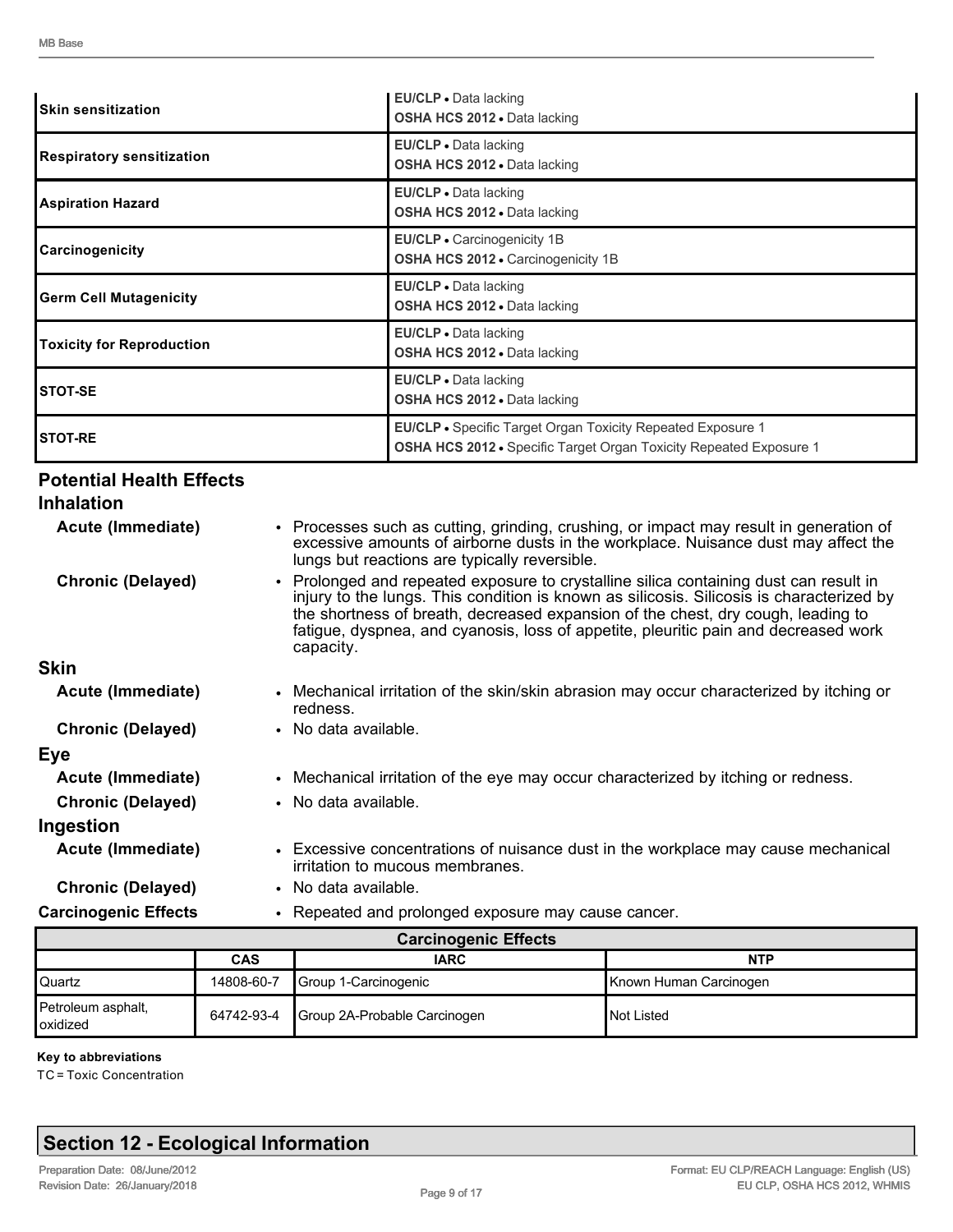| <b>ISkin sensitization</b>       | <b>EU/CLP</b> • Data lacking<br><b>OSHA HCS 2012 • Data lacking</b>                                                                             |
|----------------------------------|-------------------------------------------------------------------------------------------------------------------------------------------------|
| Respiratory sensitization        | EU/CLP - Data lacking<br><b>OSHA HCS 2012 .</b> Data lacking                                                                                    |
| <b>Aspiration Hazard</b>         | EU/CLP • Data lacking<br>OSHA HCS 2012 . Data lacking                                                                                           |
| Carcinogenicity                  | EU/CLP · Carcinogenicity 1B<br>OSHA HCS 2012 - Carcinogenicity 1B                                                                               |
| <b>Germ Cell Mutagenicity</b>    | EU/CLP . Data lacking<br><b>OSHA HCS 2012 • Data lacking</b>                                                                                    |
| <b>Toxicity for Reproduction</b> | EU/CLP . Data lacking<br>OSHA HCS 2012 . Data lacking                                                                                           |
| ISTOT-SE                         | EU/CLP · Data lacking<br>OSHA HCS 2012 . Data lacking                                                                                           |
| ISTOT-RE                         | <b>EU/CLP</b> • Specific Target Organ Toxicity Repeated Exposure 1<br><b>OSHA HCS 2012 •</b> Specific Target Organ Toxicity Repeated Exposure 1 |

### **Potential Health Effects**

| <b>Inhalation</b>           |                                                                                                                                                                                                                                                                                                                                                                           |
|-----------------------------|---------------------------------------------------------------------------------------------------------------------------------------------------------------------------------------------------------------------------------------------------------------------------------------------------------------------------------------------------------------------------|
| Acute (Immediate)           | • Processes such as cutting, grinding, crushing, or impact may result in generation of<br>excessive amounts of airborne dusts in the workplace. Nuisance dust may affect the<br>lungs but reactions are typically reversible.                                                                                                                                             |
| <b>Chronic (Delayed)</b>    | • Prolonged and repeated exposure to crystalline silica containing dust can result in<br>injury to the lungs. This condition is known as silicosis. Silicosis is characterized by<br>the shortness of breath, decreased expansion of the chest, dry cough, leading to<br>fatigue, dyspnea, and cyanosis, loss of appetite, pleuritic pain and decreased work<br>capacity. |
| <b>Skin</b>                 |                                                                                                                                                                                                                                                                                                                                                                           |
| Acute (Immediate)           | • Mechanical irritation of the skin/skin abrasion may occur characterized by itching or<br>redness.                                                                                                                                                                                                                                                                       |
| <b>Chronic (Delayed)</b>    | • No data available.                                                                                                                                                                                                                                                                                                                                                      |
| Eye                         |                                                                                                                                                                                                                                                                                                                                                                           |
| Acute (Immediate)           | • Mechanical irritation of the eye may occur characterized by itching or redness.                                                                                                                                                                                                                                                                                         |
| <b>Chronic (Delayed)</b>    | • No data available.                                                                                                                                                                                                                                                                                                                                                      |
| Ingestion                   |                                                                                                                                                                                                                                                                                                                                                                           |
| Acute (Immediate)           | • Excessive concentrations of nuisance dust in the workplace may cause mechanical<br>irritation to mucous membranes.                                                                                                                                                                                                                                                      |
| <b>Chronic (Delayed)</b>    | • No data available.                                                                                                                                                                                                                                                                                                                                                      |
| <b>Carcinogenic Effects</b> | • Repeated and prolonged exposure may cause cancer.                                                                                                                                                                                                                                                                                                                       |

| <b>Carcinogenic Effects</b>             |            |                              |                        |  |  |  |  |
|-----------------------------------------|------------|------------------------------|------------------------|--|--|--|--|
|                                         | <b>CAS</b> | <b>IARC</b>                  | <b>NTP</b>             |  |  |  |  |
| l Quartz                                | 14808-60-7 | Group 1-Carcinogenic         | Known Human Carcinogen |  |  |  |  |
| Petroleum asphalt,<br><b>l</b> oxidized | 64742-93-4 | Group 2A-Probable Carcinogen | <b>I</b> Not Listed    |  |  |  |  |

#### **Key to abbreviations**

TC = Toxic Concentration

### **Section 12 - Ecological Information**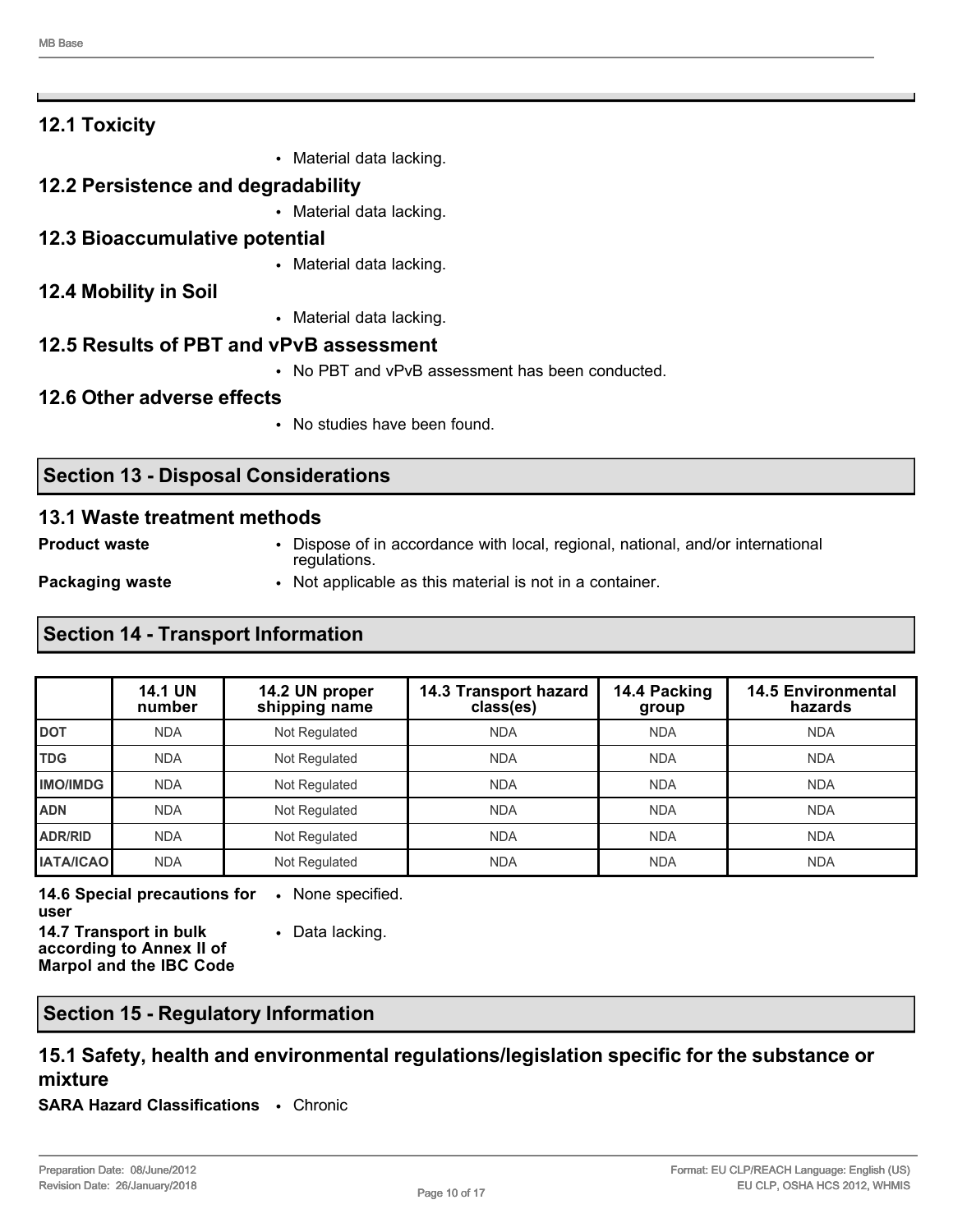| <b>12.1 Toxicity</b>                  |                                                  |
|---------------------------------------|--------------------------------------------------|
|                                       | Material data lacking.<br>$\bullet$              |
| 12.2 Persistence and degradability    |                                                  |
|                                       | • Material data lacking.                         |
| <b>12.3 Bioaccumulative potential</b> |                                                  |
|                                       | • Material data lacking.                         |
| 12.4 Mobility in Soil                 |                                                  |
|                                       | • Material data lacking.                         |
|                                       | 12.5 Results of PBT and vPvB assessment          |
|                                       | • No PBT and vPvB assessment has been conducted. |
| 12.6 Other adverse effects            |                                                  |
|                                       | • No studies have been found.                    |
|                                       |                                                  |

#### **13.1 Waste treatment methods**

**Section 13 - Disposal Considerations**

**Product waste** • Dispose of in accordance with local, regional, national, and/or international regulations.

**Packaging waste • Not applicable as this material is not in a container.** 

#### **Section 14 - Transport Information**

|                  | <b>14.1 UN</b><br>number | 14.2 UN proper<br>shipping name | 14.3 Transport hazard<br>class(es) | 14.4 Packing<br>group | <b>14.5 Environmental</b><br>hazards |
|------------------|--------------------------|---------------------------------|------------------------------------|-----------------------|--------------------------------------|
| <b>DOT</b>       | <b>NDA</b>               | Not Regulated                   | <b>NDA</b>                         | <b>NDA</b>            | <b>NDA</b>                           |
| <b>TDG</b>       | <b>NDA</b>               | Not Regulated                   | <b>NDA</b>                         | <b>NDA</b>            | <b>NDA</b>                           |
| <b>IMO/IMDG</b>  | <b>NDA</b>               | Not Regulated                   | <b>NDA</b>                         | <b>NDA</b>            | <b>NDA</b>                           |
| <b>ADN</b>       | <b>NDA</b>               | Not Regulated                   | <b>NDA</b>                         | <b>NDA</b>            | <b>NDA</b>                           |
| <b>ADR/RID</b>   | <b>NDA</b>               | Not Regulated                   | <b>NDA</b>                         | <b>NDA</b>            | <b>NDA</b>                           |
| <b>IATA/ICAO</b> | <b>NDA</b>               | Not Regulated                   | <b>NDA</b>                         | <b>NDA</b>            | <b>NDA</b>                           |

**14.6 Special precautions for user** • None specified.

**14.7 Transport in bulk according to Annex II of Marpol and the IBC Code** • Data lacking.

#### **Section 15 - Regulatory Information**

#### **15.1 Safety, health and environmental regulations/legislation specific for the substance or mixture**

**SARA Hazard Classifications** • Chronic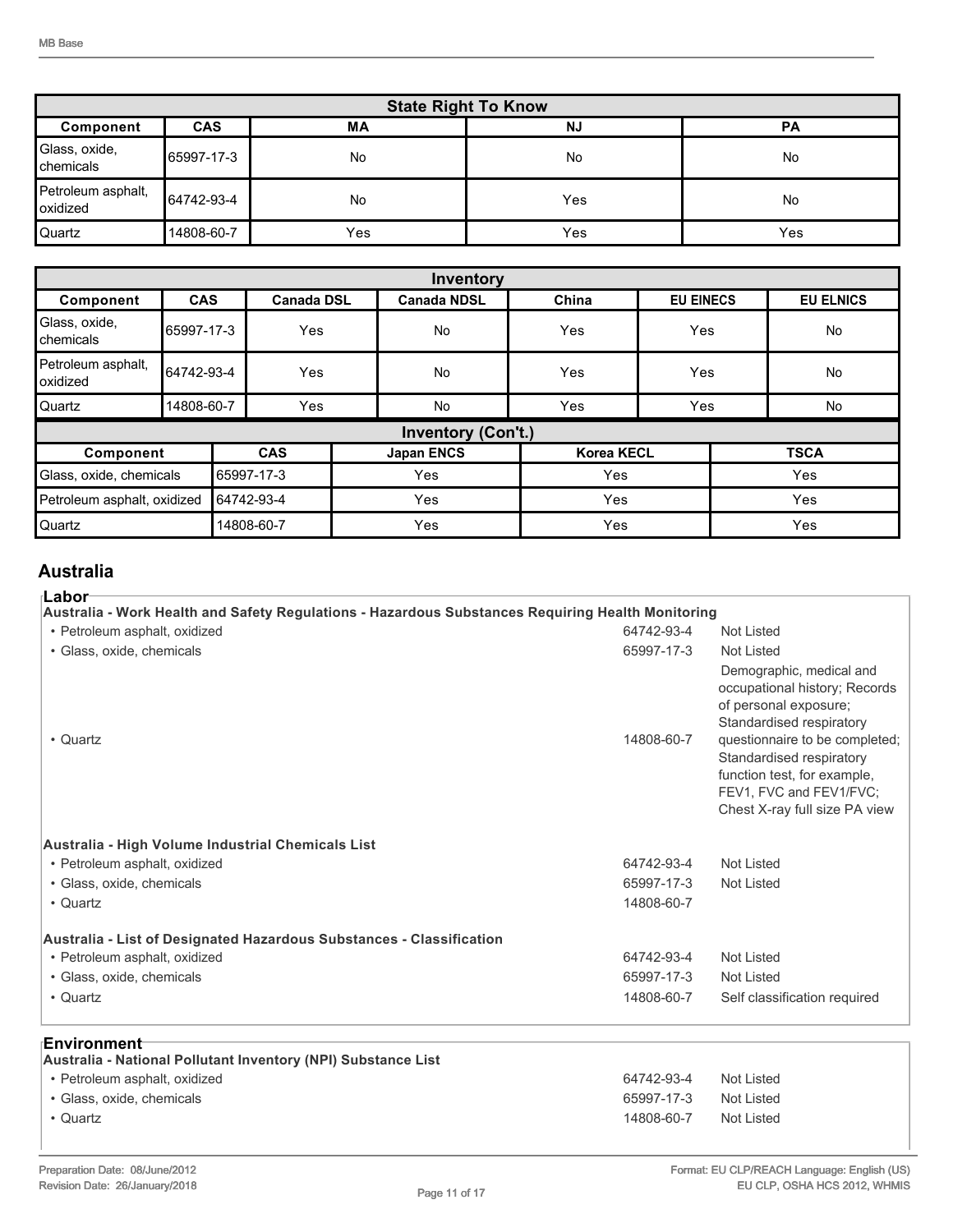| <b>State Right To Know</b>        |            |     |           |           |  |
|-----------------------------------|------------|-----|-----------|-----------|--|
| Component                         | <b>CAS</b> | ΜA  | <b>NJ</b> | <b>PA</b> |  |
| Glass, oxide,<br><b>Chemicals</b> | 65997-17-3 | No  | <b>No</b> | No        |  |
| Petroleum asphalt,<br>oxidized    | 64742-93-4 | No  | Yes       | No        |  |
| <b>Quartz</b>                     | 14808-60-7 | Yes | Yes       | Yes       |  |

| Inventory                             |            |            |                   |                   |                           |       |                  |             |                  |
|---------------------------------------|------------|------------|-------------------|-------------------|---------------------------|-------|------------------|-------------|------------------|
| Component                             | <b>CAS</b> |            | <b>Canada DSL</b> |                   | <b>Canada NDSL</b>        | China | <b>EU EINECS</b> |             | <b>EU ELNICS</b> |
| Glass, oxide,<br>Ichemicals           | 65997-17-3 |            | Yes               |                   | <b>No</b>                 | Yes   | Yes              |             | No               |
| Petroleum asphalt,<br>loxidized       | 64742-93-4 |            | Yes               |                   | <b>No</b>                 | Yes   | Yes              |             | No               |
| lQuartz                               | 14808-60-7 |            | Yes               |                   | <b>No</b>                 | Yes   | Yes              |             | No               |
|                                       |            |            |                   |                   | <b>Inventory (Con't.)</b> |       |                  |             |                  |
| Component                             |            | <b>CAS</b> |                   | <b>Japan ENCS</b> | <b>Korea KECL</b>         |       |                  | <b>TSCA</b> |                  |
| Glass, oxide, chemicals<br>65997-17-3 |            |            | Yes               | Yes               |                           | Yes   |                  |             |                  |
| Petroleum asphalt, oxidized           |            | 64742-93-4 |                   | Yes               | Yes                       |       |                  | Yes         |                  |
| Quartz                                |            |            | 14808-60-7        |                   | Yes                       | Yes   |                  |             | Yes              |

### **Australia**

#### **Labor**

| Australia - Work Health and Safety Regulations - Hazardous Substances Requiring Health Monitoring |            |                                                                                                                                                                                                                                                                         |  |  |  |
|---------------------------------------------------------------------------------------------------|------------|-------------------------------------------------------------------------------------------------------------------------------------------------------------------------------------------------------------------------------------------------------------------------|--|--|--|
| • Petroleum asphalt, oxidized                                                                     | 64742-93-4 | Not Listed                                                                                                                                                                                                                                                              |  |  |  |
| · Glass, oxide, chemicals                                                                         | 65997-17-3 | <b>Not Listed</b>                                                                                                                                                                                                                                                       |  |  |  |
| • Quartz                                                                                          | 14808-60-7 | Demographic, medical and<br>occupational history; Records<br>of personal exposure;<br>Standardised respiratory<br>questionnaire to be completed;<br>Standardised respiratory<br>function test, for example,<br>FEV1, FVC and FEV1/FVC:<br>Chest X-ray full size PA view |  |  |  |
| Australia - High Volume Industrial Chemicals List                                                 |            |                                                                                                                                                                                                                                                                         |  |  |  |
| • Petroleum asphalt, oxidized                                                                     | 64742-93-4 | Not Listed                                                                                                                                                                                                                                                              |  |  |  |
| · Glass, oxide, chemicals                                                                         | 65997-17-3 | <b>Not Listed</b>                                                                                                                                                                                                                                                       |  |  |  |
| • Quartz                                                                                          | 14808-60-7 |                                                                                                                                                                                                                                                                         |  |  |  |
| Australia - List of Designated Hazardous Substances - Classification                              |            |                                                                                                                                                                                                                                                                         |  |  |  |
| • Petroleum asphalt, oxidized                                                                     | 64742-93-4 | <b>Not Listed</b>                                                                                                                                                                                                                                                       |  |  |  |
| · Glass, oxide, chemicals                                                                         | 65997-17-3 | Not Listed                                                                                                                                                                                                                                                              |  |  |  |
| • Quartz                                                                                          | 14808-60-7 | Self classification required                                                                                                                                                                                                                                            |  |  |  |
| ⊧Environment                                                                                      |            |                                                                                                                                                                                                                                                                         |  |  |  |
| Australia - National Pollutant Inventory (NPI) Substance List                                     |            |                                                                                                                                                                                                                                                                         |  |  |  |
| • Petroleum asphalt, oxidized                                                                     | 64742-93-4 | Not Listed                                                                                                                                                                                                                                                              |  |  |  |
| · Glass, oxide, chemicals                                                                         | 65997-17-3 | <b>Not Listed</b>                                                                                                                                                                                                                                                       |  |  |  |
| • Quartz                                                                                          | 14808-60-7 | <b>Not Listed</b>                                                                                                                                                                                                                                                       |  |  |  |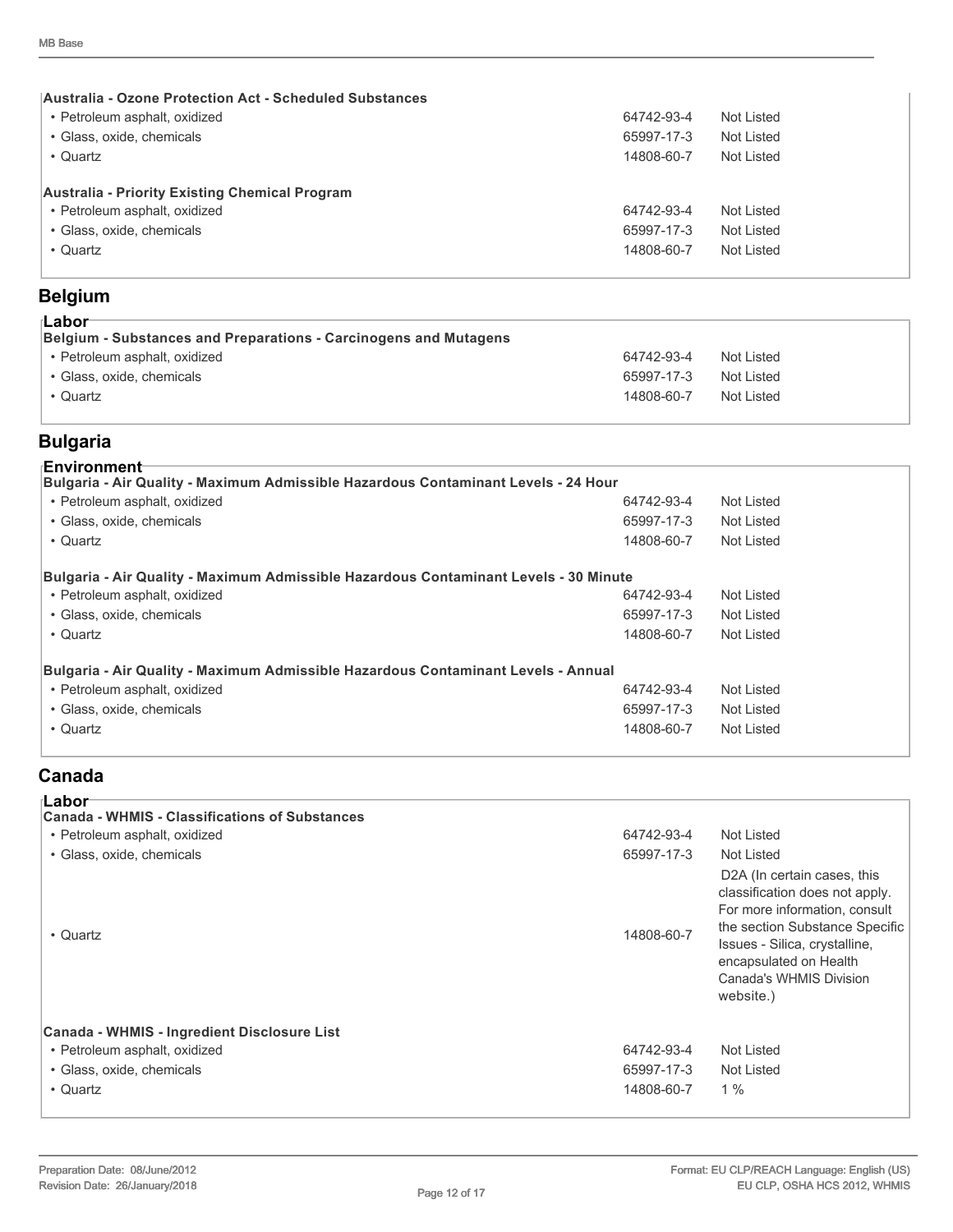| <b>Australia - Ozone Protection Act - Scheduled Substances</b> |            |            |
|----------------------------------------------------------------|------------|------------|
| • Petroleum asphalt, oxidized                                  | 64742-93-4 | Not Listed |
| • Glass, oxide, chemicals                                      | 65997-17-3 | Not Listed |
| • Quartz                                                       | 14808-60-7 | Not Listed |
| Australia - Priority Existing Chemical Program                 |            |            |
| • Petroleum asphalt, oxidized                                  | 64742-93-4 | Not Listed |
| • Glass, oxide, chemicals                                      | 65997-17-3 | Not Listed |
| • Quartz                                                       | 14808-60-7 | Not Listed |
|                                                                |            |            |

### **Belgium**

| ⊺Labor<br>Belgium - Substances and Preparations - Carcinogens and Mutagens |            |            |
|----------------------------------------------------------------------------|------------|------------|
| • Petroleum asphalt, oxidized                                              | 64742-93-4 | Not Listed |
| • Glass, oxide, chemicals                                                  | 65997-17-3 | Not Listed |
| • Quartz                                                                   | 14808-60-7 | Not Listed |
|                                                                            |            |            |

### **Bulgaria**

| 64742-93-4 | Not Listed                                                                                                                                                                 |
|------------|----------------------------------------------------------------------------------------------------------------------------------------------------------------------------|
| 65997-17-3 | Not Listed                                                                                                                                                                 |
| 14808-60-7 | Not Listed                                                                                                                                                                 |
|            |                                                                                                                                                                            |
| 64742-93-4 | Not Listed                                                                                                                                                                 |
| 65997-17-3 | Not Listed                                                                                                                                                                 |
| 14808-60-7 | Not Listed                                                                                                                                                                 |
|            |                                                                                                                                                                            |
| 64742-93-4 | Not Listed                                                                                                                                                                 |
| 65997-17-3 | Not Listed                                                                                                                                                                 |
| 14808-60-7 | Not Listed                                                                                                                                                                 |
|            | Bulgaria - Air Quality - Maximum Admissible Hazardous Contaminant Levels - 24 Hour<br>Bulgaria - Air Quality - Maximum Admissible Hazardous Contaminant Levels - 30 Minute |

### **Canada**

| ⊧Labor<br><b>Canada - WHMIS - Classifications of Substances</b><br>• Petroleum asphalt, oxidized<br>• Glass, oxide, chemicals<br>• Quartz | 64742-93-4<br>65997-17-3<br>14808-60-7 | Not Listed<br>Not Listed<br>D <sub>2</sub> A (In certain cases, this<br>classification does not apply.<br>For more information, consult<br>the section Substance Specific<br>Issues - Silica, crystalline,<br>encapsulated on Health<br>Canada's WHMIS Division<br>website.) |
|-------------------------------------------------------------------------------------------------------------------------------------------|----------------------------------------|------------------------------------------------------------------------------------------------------------------------------------------------------------------------------------------------------------------------------------------------------------------------------|
| Canada - WHMIS - Ingredient Disclosure List<br>• Petroleum asphalt, oxidized<br>• Glass, oxide, chemicals<br>• Quartz                     | 64742-93-4<br>65997-17-3<br>14808-60-7 | Not Listed<br>Not Listed<br>$1\%$                                                                                                                                                                                                                                            |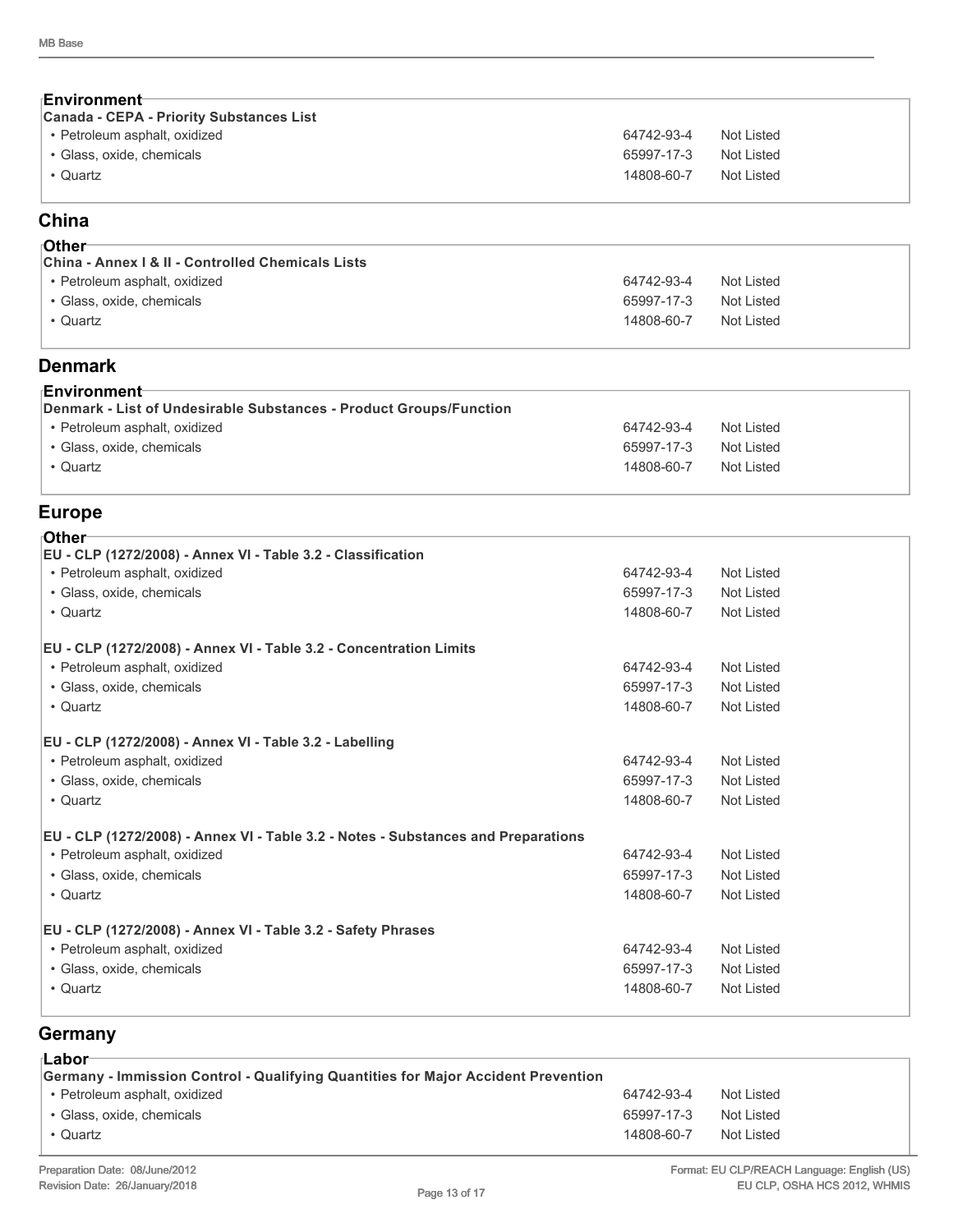| ⊦Environment                                                                                        |                          |                          |
|-----------------------------------------------------------------------------------------------------|--------------------------|--------------------------|
| <b>Canada - CEPA - Priority Substances List</b><br>· Petroleum asphalt, oxidized                    | 64742-93-4               | Not Listed               |
| · Glass, oxide, chemicals                                                                           | 65997-17-3               | Not Listed               |
| • Quartz                                                                                            | 14808-60-7               | Not Listed               |
| China                                                                                               |                          |                          |
| ιOther                                                                                              |                          |                          |
| China - Annex   & II - Controlled Chemicals Lists                                                   |                          |                          |
| • Petroleum asphalt, oxidized                                                                       | 64742-93-4               | Not Listed               |
| · Glass, oxide, chemicals                                                                           | 65997-17-3               | Not Listed               |
| • Quartz                                                                                            | 14808-60-7               | Not Listed               |
| <b>Denmark</b>                                                                                      |                          |                          |
| ⊦Environment                                                                                        |                          |                          |
| Denmark - List of Undesirable Substances - Product Groups/Function<br>· Petroleum asphalt, oxidized | 64742-93-4               | <b>Not Listed</b>        |
| · Glass, oxide, chemicals                                                                           | 65997-17-3               | <b>Not Listed</b>        |
| • Quartz                                                                                            | 14808-60-7               | <b>Not Listed</b>        |
|                                                                                                     |                          |                          |
| <b>Europe</b>                                                                                       |                          |                          |
| <b>⊺Other</b>                                                                                       |                          |                          |
| EU - CLP (1272/2008) - Annex VI - Table 3.2 - Classification                                        |                          |                          |
| • Petroleum asphalt, oxidized                                                                       | 64742-93-4               | Not Listed               |
| · Glass, oxide, chemicals<br>• Quartz                                                               | 65997-17-3<br>14808-60-7 | Not Listed<br>Not Listed |
|                                                                                                     |                          |                          |
| EU - CLP (1272/2008) - Annex VI - Table 3.2 - Concentration Limits                                  |                          |                          |
| • Petroleum asphalt, oxidized                                                                       | 64742-93-4               | Not Listed               |
| · Glass, oxide, chemicals                                                                           | 65997-17-3               | <b>Not Listed</b>        |
| • Quartz                                                                                            | 14808-60-7               | <b>Not Listed</b>        |
| EU - CLP (1272/2008) - Annex VI - Table 3.2 - Labelling                                             |                          |                          |
| • Petroleum asphalt, oxidized                                                                       | 64742-93-4               | Not Listed               |
| · Glass, oxide, chemicals                                                                           | 65997-17-3               | Not Listed               |
| • Quartz                                                                                            | 14808-60-7               | <b>Not Listed</b>        |
| EU - CLP (1272/2008) - Annex VI - Table 3.2 - Notes - Substances and Preparations                   |                          |                          |
| • Petroleum asphalt, oxidized                                                                       | 64742-93-4               | Not Listed               |
| · Glass, oxide, chemicals                                                                           | 65997-17-3               | Not Listed               |
| • Quartz                                                                                            | 14808-60-7               | Not Listed               |
| EU - CLP (1272/2008) - Annex VI - Table 3.2 - Safety Phrases                                        |                          |                          |
| · Petroleum asphalt, oxidized                                                                       | 64742-93-4               | Not Listed               |
| · Glass, oxide, chemicals                                                                           | 65997-17-3               | Not Listed               |
| • Quartz                                                                                            | 14808-60-7               | Not Listed               |
|                                                                                                     |                          |                          |

### **Germany**

| ⊺Labor<br>Germany - Immission Control - Qualifying Quantities for Major Accident Prevention |            |            |
|---------------------------------------------------------------------------------------------|------------|------------|
| • Petroleum asphalt, oxidized                                                               | 64742-93-4 | Not Listed |
| • Glass, oxide, chemicals                                                                   | 65997-17-3 | Not Listed |
| • Quartz                                                                                    | 14808-60-7 | Not Listed |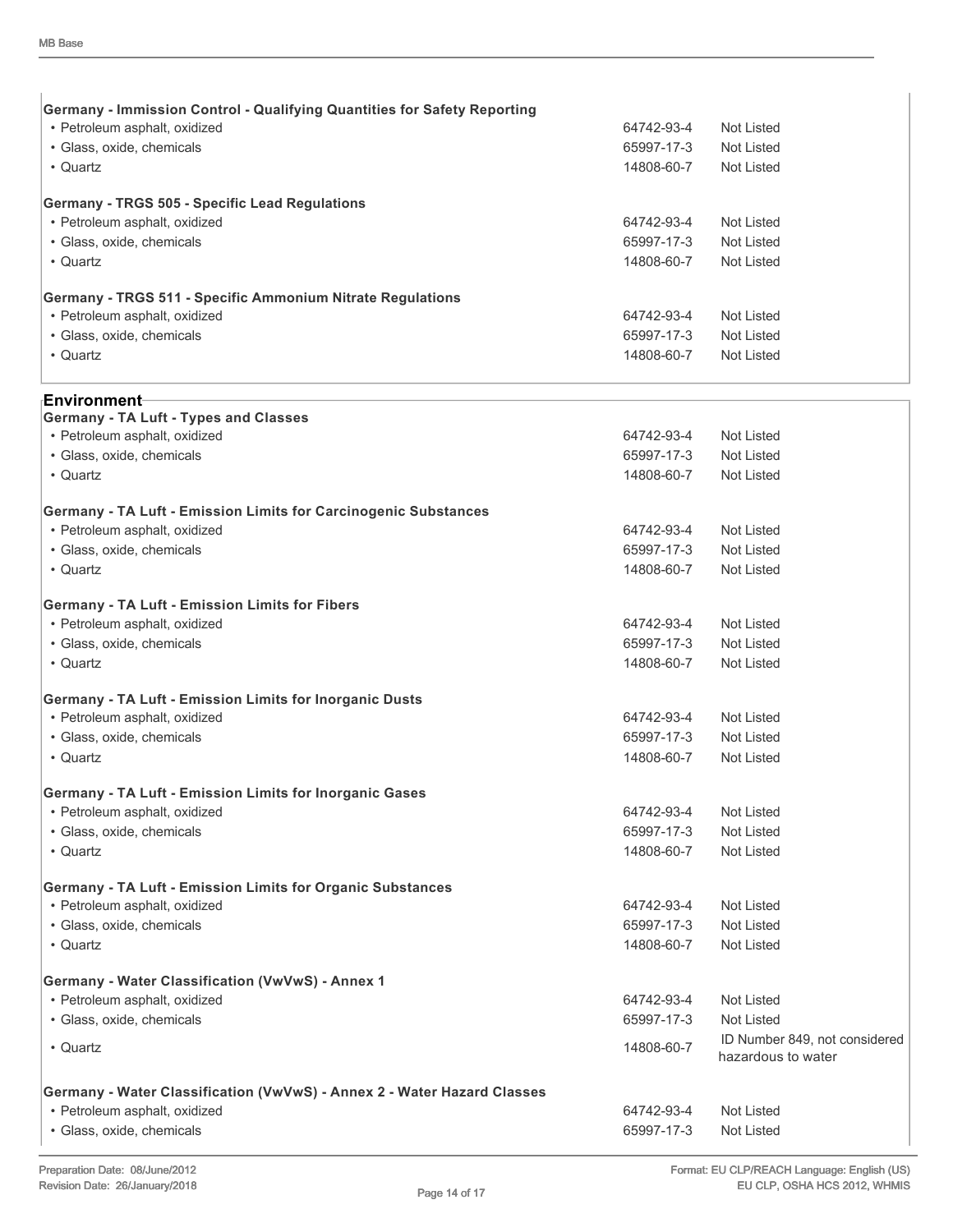| <b>Germany - Immission Control - Qualifying Quantities for Safety Reporting</b>   |            |                               |
|-----------------------------------------------------------------------------------|------------|-------------------------------|
| • Petroleum asphalt, oxidized                                                     | 64742-93-4 | Not Listed                    |
| · Glass, oxide, chemicals                                                         | 65997-17-3 | Not Listed                    |
| • Quartz                                                                          | 14808-60-7 | Not Listed                    |
| Germany - TRGS 505 - Specific Lead Regulations                                    |            |                               |
| • Petroleum asphalt, oxidized                                                     | 64742-93-4 | Not Listed                    |
| · Glass, oxide, chemicals                                                         | 65997-17-3 | Not Listed                    |
| • Quartz                                                                          | 14808-60-7 | Not Listed                    |
| Germany - TRGS 511 - Specific Ammonium Nitrate Regulations                        |            |                               |
| • Petroleum asphalt, oxidized                                                     | 64742-93-4 | Not Listed                    |
| · Glass, oxide, chemicals                                                         | 65997-17-3 | Not Listed                    |
| • Quartz                                                                          | 14808-60-7 | Not Listed                    |
| <sub>'</sub> Environment⊣                                                         |            |                               |
| <b>Germany - TA Luft - Types and Classes</b>                                      |            |                               |
| • Petroleum asphalt, oxidized                                                     | 64742-93-4 | Not Listed                    |
| · Glass, oxide, chemicals                                                         | 65997-17-3 | Not Listed                    |
| • Quartz                                                                          | 14808-60-7 | Not Listed                    |
| Germany - TA Luft - Emission Limits for Carcinogenic Substances                   |            |                               |
| • Petroleum asphalt, oxidized                                                     | 64742-93-4 | Not Listed                    |
| · Glass, oxide, chemicals                                                         | 65997-17-3 | Not Listed                    |
| • Quartz                                                                          | 14808-60-7 | Not Listed                    |
| Germany - TA Luft - Emission Limits for Fibers                                    |            |                               |
| • Petroleum asphalt, oxidized                                                     | 64742-93-4 | Not Listed                    |
| · Glass, oxide, chemicals                                                         | 65997-17-3 | Not Listed                    |
| • Quartz                                                                          | 14808-60-7 | Not Listed                    |
| Germany - TA Luft - Emission Limits for Inorganic Dusts                           |            |                               |
| • Petroleum asphalt, oxidized                                                     | 64742-93-4 | Not Listed                    |
| · Glass, oxide, chemicals                                                         | 65997-17-3 | Not Listed                    |
| • Quartz                                                                          | 14808-60-7 | Not Listed                    |
| Germany - TA Luft - Emission Limits for Inorganic Gases                           |            |                               |
| • Petroleum asphalt, oxidized                                                     | 64742-93-4 | Not Listed                    |
| · Glass, oxide, chemicals                                                         | 65997-17-3 | <b>Not Listed</b>             |
| • Quartz                                                                          | 14808-60-7 | Not Listed                    |
| Germany - TA Luft - Emission Limits for Organic Substances                        |            |                               |
| • Petroleum asphalt, oxidized                                                     | 64742-93-4 | Not Listed                    |
| · Glass, oxide, chemicals                                                         | 65997-17-3 | Not Listed                    |
| • Quartz                                                                          | 14808-60-7 | <b>Not Listed</b>             |
|                                                                                   |            |                               |
| Germany - Water Classification (VwVwS) - Annex 1<br>• Petroleum asphalt, oxidized | 64742-93-4 | <b>Not Listed</b>             |
| · Glass, oxide, chemicals                                                         | 65997-17-3 | Not Listed                    |
|                                                                                   |            | ID Number 849, not considered |
| • Quartz                                                                          | 14808-60-7 | hazardous to water            |
| Germany - Water Classification (VwVwS) - Annex 2 - Water Hazard Classes           |            |                               |
| • Petroleum asphalt, oxidized                                                     | 64742-93-4 | Not Listed                    |
| · Glass, oxide, chemicals                                                         | 65997-17-3 | Not Listed                    |
|                                                                                   |            |                               |

 $\begin{array}{c} \hline \end{array}$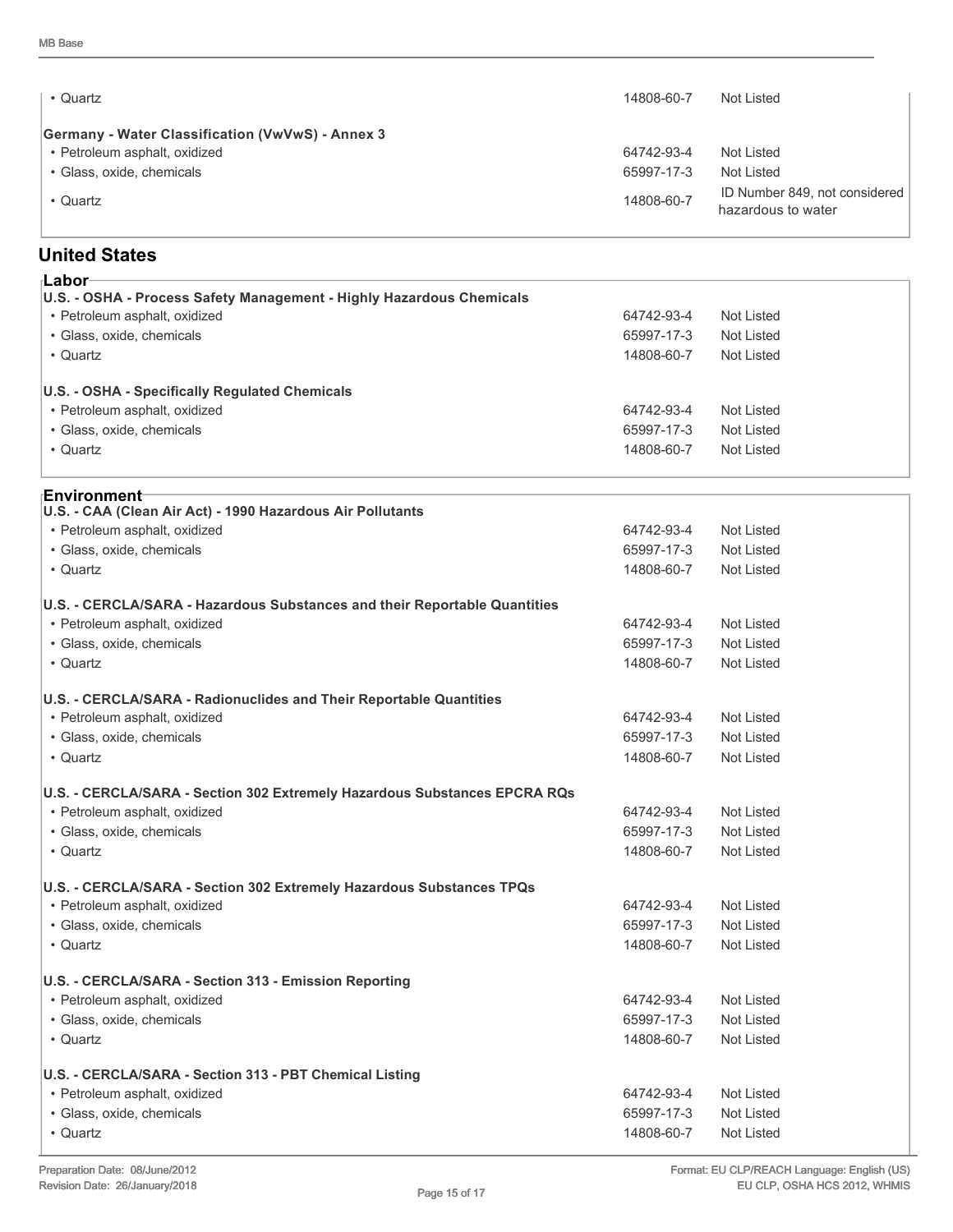| • Quartz                                                | 14808-60-7 | Not Listed                                          |
|---------------------------------------------------------|------------|-----------------------------------------------------|
| <b>Germany - Water Classification (VwVwS) - Annex 3</b> |            |                                                     |
| • Petroleum asphalt, oxidized                           | 64742-93-4 | Not Listed                                          |
| • Glass, oxide, chemicals                               | 65997-17-3 | Not Listed                                          |
| • Quartz                                                | 14808-60-7 | ID Number 849, not considered<br>hazardous to water |

### **United States**

| ⊦Labor                                                                    |                          |                   |
|---------------------------------------------------------------------------|--------------------------|-------------------|
| U.S. - OSHA - Process Safety Management - Highly Hazardous Chemicals      |                          |                   |
| • Petroleum asphalt, oxidized                                             | 64742-93-4               | Not Listed        |
| · Glass, oxide, chemicals                                                 | 65997-17-3<br>14808-60-7 | Not Listed        |
| • Quartz                                                                  |                          | Not Listed        |
| U.S. - OSHA - Specifically Regulated Chemicals                            |                          |                   |
| • Petroleum asphalt, oxidized                                             | 64742-93-4               | Not Listed        |
| · Glass, oxide, chemicals                                                 | 65997-17-3               | Not Listed        |
| • Quartz                                                                  | 14808-60-7               | Not Listed        |
| ⊦Environment                                                              |                          |                   |
| U.S. - CAA (Clean Air Act) - 1990 Hazardous Air Pollutants                |                          |                   |
| • Petroleum asphalt, oxidized                                             | 64742-93-4               | Not Listed        |
| · Glass, oxide, chemicals                                                 | 65997-17-3               | Not Listed        |
| • Quartz                                                                  | 14808-60-7               | Not Listed        |
| U.S. - CERCLA/SARA - Hazardous Substances and their Reportable Quantities |                          |                   |
| • Petroleum asphalt, oxidized                                             | 64742-93-4               | Not Listed        |
| · Glass, oxide, chemicals                                                 | 65997-17-3               | <b>Not Listed</b> |
| • Quartz                                                                  | 14808-60-7               | Not Listed        |
| U.S. - CERCLA/SARA - Radionuclides and Their Reportable Quantities        |                          |                   |
| • Petroleum asphalt, oxidized                                             | 64742-93-4               | Not Listed        |
| · Glass, oxide, chemicals                                                 | 65997-17-3               | Not Listed        |
| • Quartz                                                                  | 14808-60-7               | Not Listed        |
| U.S. - CERCLA/SARA - Section 302 Extremely Hazardous Substances EPCRA RQs |                          |                   |
| • Petroleum asphalt, oxidized                                             | 64742-93-4               | Not Listed        |
| · Glass, oxide, chemicals                                                 | 65997-17-3               | Not Listed        |
| • Quartz                                                                  | 14808-60-7               | Not Listed        |
| U.S. - CERCLA/SARA - Section 302 Extremely Hazardous Substances TPQs      |                          |                   |
| • Petroleum asphalt, oxidized                                             | 64742-93-4               | Not Listed        |
| · Glass, oxide, chemicals                                                 | 65997-17-3               | Not Listed        |
| • Quartz                                                                  | 14808-60-7               | Not Listed        |
| U.S. - CERCLA/SARA - Section 313 - Emission Reporting                     |                          |                   |
| • Petroleum asphalt, oxidized                                             | 64742-93-4               | Not Listed        |
| · Glass, oxide, chemicals                                                 | 65997-17-3               | Not Listed        |
| • Quartz                                                                  | 14808-60-7               | Not Listed        |
| U.S. - CERCLA/SARA - Section 313 - PBT Chemical Listing                   |                          |                   |
| • Petroleum asphalt, oxidized                                             | 64742-93-4               | Not Listed        |
| · Glass, oxide, chemicals                                                 | 65997-17-3               | Not Listed        |
| • Quartz                                                                  | 14808-60-7               | Not Listed        |
|                                                                           |                          |                   |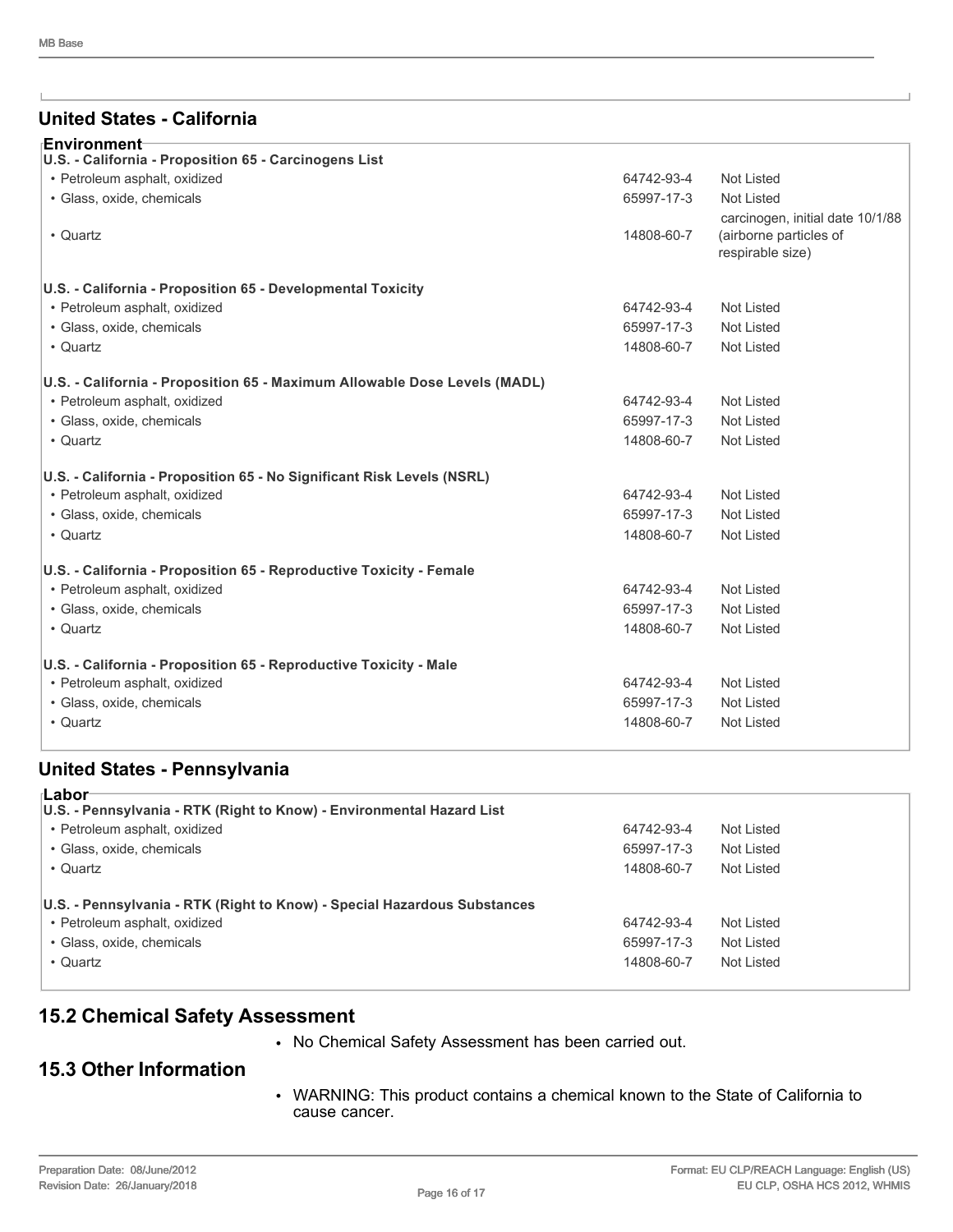#### **United States - California**

| ⊦Environment                                                              |            |                                                                                |  |  |
|---------------------------------------------------------------------------|------------|--------------------------------------------------------------------------------|--|--|
| U.S. - California - Proposition 65 - Carcinogens List                     |            |                                                                                |  |  |
| • Petroleum asphalt, oxidized                                             | 64742-93-4 | <b>Not Listed</b>                                                              |  |  |
| · Glass, oxide, chemicals                                                 | 65997-17-3 | <b>Not Listed</b>                                                              |  |  |
| • Quartz                                                                  | 14808-60-7 | carcinogen, initial date 10/1/88<br>(airborne particles of<br>respirable size) |  |  |
| U.S. - California - Proposition 65 - Developmental Toxicity               |            |                                                                                |  |  |
| • Petroleum asphalt, oxidized                                             | 64742-93-4 | <b>Not Listed</b>                                                              |  |  |
| · Glass, oxide, chemicals                                                 | 65997-17-3 | <b>Not Listed</b>                                                              |  |  |
| • Quartz                                                                  | 14808-60-7 | <b>Not Listed</b>                                                              |  |  |
| U.S. - California - Proposition 65 - Maximum Allowable Dose Levels (MADL) |            |                                                                                |  |  |
| • Petroleum asphalt, oxidized                                             | 64742-93-4 | <b>Not Listed</b>                                                              |  |  |
| · Glass, oxide, chemicals                                                 | 65997-17-3 | <b>Not Listed</b>                                                              |  |  |
| • Quartz                                                                  | 14808-60-7 | Not Listed                                                                     |  |  |
| U.S. - California - Proposition 65 - No Significant Risk Levels (NSRL)    |            |                                                                                |  |  |
| • Petroleum asphalt, oxidized                                             | 64742-93-4 | <b>Not Listed</b>                                                              |  |  |
| · Glass, oxide, chemicals                                                 | 65997-17-3 | Not Listed                                                                     |  |  |
| • Quartz                                                                  | 14808-60-7 | Not Listed                                                                     |  |  |
| U.S. - California - Proposition 65 - Reproductive Toxicity - Female       |            |                                                                                |  |  |
| • Petroleum asphalt, oxidized                                             | 64742-93-4 | <b>Not Listed</b>                                                              |  |  |
| · Glass, oxide, chemicals                                                 | 65997-17-3 | Not Listed                                                                     |  |  |
| • Quartz                                                                  | 14808-60-7 | <b>Not Listed</b>                                                              |  |  |
| U.S. - California - Proposition 65 - Reproductive Toxicity - Male         |            |                                                                                |  |  |
| • Petroleum asphalt, oxidized                                             | 64742-93-4 | Not Listed                                                                     |  |  |
| · Glass, oxide, chemicals                                                 | 65997-17-3 | <b>Not Listed</b>                                                              |  |  |
| • Quartz                                                                  | 14808-60-7 | <b>Not Listed</b>                                                              |  |  |
|                                                                           |            |                                                                                |  |  |

#### **United States - Pennsylvania**

| ⊺Labor<br>U.S. - Pennsylvania - RTK (Right to Know) - Environmental Hazard List                                                                    |                                        |                                        |  |
|----------------------------------------------------------------------------------------------------------------------------------------------------|----------------------------------------|----------------------------------------|--|
| • Petroleum asphalt, oxidized                                                                                                                      | 64742-93-4                             | Not Listed                             |  |
| • Glass, oxide, chemicals                                                                                                                          | 65997-17-3                             | Not Listed                             |  |
| • Quartz                                                                                                                                           | 14808-60-7                             | Not Listed                             |  |
| U.S. - Pennsylvania - RTK (Right to Know) - Special Hazardous Substances<br>• Petroleum asphalt, oxidized<br>• Glass, oxide, chemicals<br>• Quartz | 64742-93-4<br>65997-17-3<br>14808-60-7 | Not Listed<br>Not Listed<br>Not Listed |  |

#### **15.2 Chemical Safety Assessment**

• No Chemical Safety Assessment has been carried out.

#### **15.3 Other Information**

• WARNING: This product contains a chemical known to the State of California to cause cancer.